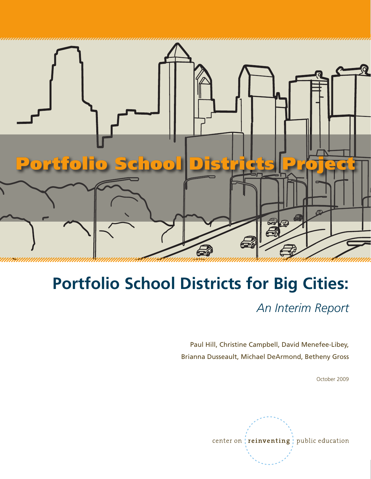

# **Portfolio School Districts for Big Cities:**

*An Interim Report*

Paul Hill, Christine Campbell, David Menefee-Libey, Brianna Dusseault, Michael DeArmond, Betheny Gross

October 2009

center on *reinventing* ; public education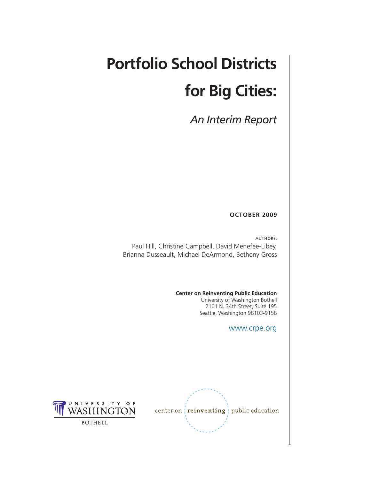# **Portfolio School Districts for Big Cities:**

*An Interim Report*

#### **October 2009**

Authors: Paul Hill, Christine Campbell, David Menefee-Libey, Brianna Dusseault, Michael DeArmond, Betheny Gross

**Center on Reinventing Public Education**

University of Washington Bothell 2101 N. 34th Street, Suite 195 Seattle, Washington 98103-9158

www.crpe.org



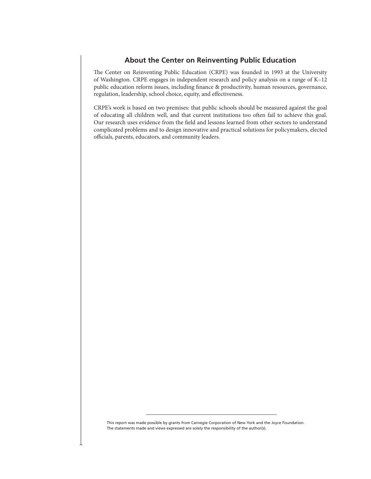#### **About the Center on Reinventing Public Education**

The Center on Reinventing Public Education (CRPE) was founded in 1993 at the University of Washington. CRPE engages in independent research and policy analysis on a range of K–12 public education reform issues, including finance & productivity, human resources, governance, regulation, leadership, school choice, equity, and effectiveness.

CRPE's work is based on two premises: that public schools should be measured against the goal of educating all children well, and that current institutions too often fail to achieve this goal. Our research uses evidence from the field and lessons learned from other sectors to understand complicated problems and to design innovative and practical solutions for policymakers, elected officials, parents, educators, and community leaders.

This report was made possible by grants from Carnegie Corporation of New York and the Joyce Foundation. The statements made and views expressed are solely the responsibility of the author(s).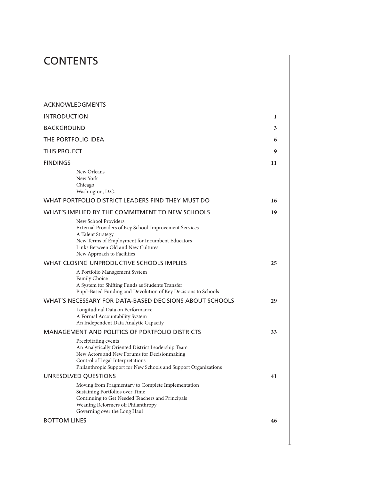# **CONTENTS**

| <b>ACKNOWLEDGMENTS</b>                                                                                                                                                                                                           |    |  |
|----------------------------------------------------------------------------------------------------------------------------------------------------------------------------------------------------------------------------------|----|--|
| <b>INTRODUCTION</b>                                                                                                                                                                                                              | 1  |  |
| <b>BACKGROUND</b>                                                                                                                                                                                                                | 3  |  |
| THE PORTFOLIO IDEA                                                                                                                                                                                                               | 6  |  |
| THIS PROJECT                                                                                                                                                                                                                     |    |  |
| <b>FINDINGS</b>                                                                                                                                                                                                                  | 11 |  |
| New Orleans<br>New York<br>Chicago<br>Washington, D.C.                                                                                                                                                                           |    |  |
| WHAT PORTFOLIO DISTRICT LEADERS FIND THEY MUST DO                                                                                                                                                                                | 16 |  |
| WHAT'S IMPLIED BY THE COMMITMENT TO NEW SCHOOLS                                                                                                                                                                                  | 19 |  |
| New School Providers<br>External Providers of Key School-Improvement Services<br>A Talent Strategy<br>New Terms of Employment for Incumbent Educators<br>Links Between Old and New Cultures<br>New Approach to Facilities        |    |  |
| WHAT CLOSING UNPRODUCTIVE SCHOOLS IMPLIES                                                                                                                                                                                        | 25 |  |
| A Portfolio Management System<br>Family Choice<br>A System for Shifting Funds as Students Transfer<br>Pupil-Based Funding and Devolution of Key Decisions to Schools                                                             |    |  |
| WHAT'S NECESSARY FOR DATA-BASED DECISIONS ABOUT SCHOOLS                                                                                                                                                                          | 29 |  |
| Longitudinal Data on Performance<br>A Formal Accountability System<br>An Independent Data Analytic Capacity                                                                                                                      |    |  |
| <b>MANAGEMENT AND POLITICS OF PORTFOLIO DISTRICTS</b>                                                                                                                                                                            | 33 |  |
| Precipitating events<br>An Analytically Oriented District Leadership Team<br>New Actors and New Forums for Decisionmaking<br>Control of Legal Interpretations<br>Philanthropic Support for New Schools and Support Organizations |    |  |
| UNRESOLVED QUESTIONS                                                                                                                                                                                                             | 41 |  |
| Moving from Fragmentary to Complete Implementation<br>Sustaining Portfolios over Time<br>Continuing to Get Needed Teachers and Principals<br>Weaning Reformers off Philanthropy<br>Governing over the Long Haul                  |    |  |
| <b>BOTTOM LINES</b>                                                                                                                                                                                                              | 46 |  |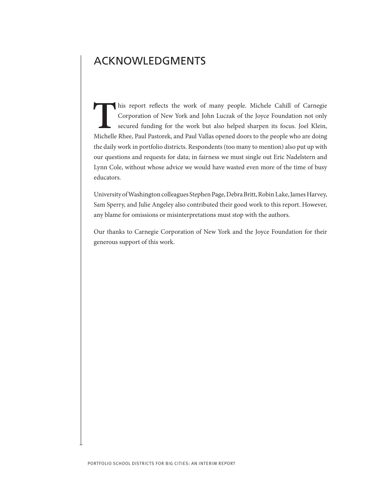### <span id="page-5-0"></span>ACKNOWLEDGMENTS

This report reflects the work of many people. Michele Cahill of Carnegie<br>Corporation of New York and John Luczak of the Joyce Foundation not only<br>secured funding for the work but also helped sharpen its focus. Joel Klein,<br> Corporation of New York and John Luczak of the Joyce Foundation not only secured funding for the work but also helped sharpen its focus. Joel Klein, Michelle Rhee, Paul Pastorek, and Paul Vallas opened doors to the people who are doing the daily work in portfolio districts. Respondents (too many to mention) also put up with our questions and requests for data; in fairness we must single out Eric Nadelstern and Lynn Cole, without whose advice we would have wasted even more of the time of busy educators.

University of Washington colleagues Stephen Page, Debra Britt, Robin Lake, James Harvey, Sam Sperry, and Julie Angeley also contributed their good work to this report. However, any blame for omissions or misinterpretations must stop with the authors.

Our thanks to Carnegie Corporation of New York and the Joyce Foundation for their generous support of this work.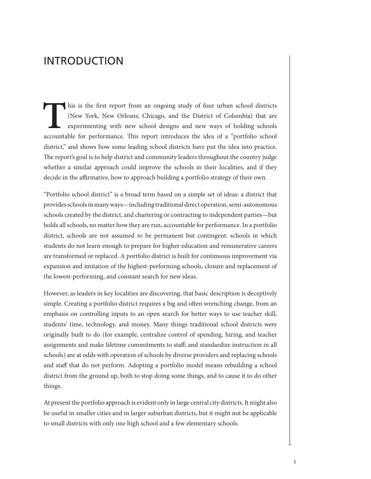### <span id="page-6-0"></span>INTRODUCTION

This is the first report from an ongoing study of four urban school districts<br>(New York, New Orleans, Chicago, and the District of Columbia) that are<br>experimenting with new school designs and new ways of holding schools<br>ac (New York, New Orleans, Chicago, and the District of Columbia) that are experimenting with new school designs and new ways of holding schools accountable for performance. This report introduces the idea of a "portfolio school district," and shows how some leading school districts have put the idea into practice. The report's goal is to help district and community leaders throughout the country judge whether a similar approach could improve the schools in their localities, and if they decide in the affirmative, how to approach building a portfolio strategy of their own.

"Portfolio school district" is a broad term based on a simple set of ideas: a district that provides schools in many ways—including traditional direct operation, semi-autonomous schools created by the district, and chartering or contracting to independent parties—but holds all schools, no matter how they are run, accountable for performance. In a portfolio district, schools are not assumed to be permanent but contingent: schools in which students do not learn enough to prepare for higher education and remunerative careers are transformed or replaced. A portfolio district is built for continuous improvement via expansion and imitation of the highest-performing schools, closure and replacement of the lowest-performing, and constant search for new ideas.

However, as leaders in key localities are discovering, that basic description is deceptively simple. Creating a portfolio district requires a big and often wrenching change, from an emphasis on controlling inputs to an open search for better ways to use teacher skill, students' time, technology, and money. Many things traditional school districts were originally built to do (for example, centralize control of spending, hiring, and teacher assignments and make lifetime commitments to staff; and standardize instruction in all schools) are at odds with operation of schools by diverse providers and replacing schools and staff that do not perform. Adopting a portfolio model means rebuilding a school district from the ground up, both to stop doing some things, and to cause it to do other things.

At present the portfolio approach is evident only in large central city districts. It might also be useful in smaller cities and in larger suburban districts, but it might not be applicable to small districts with only one high school and a few elementary schools.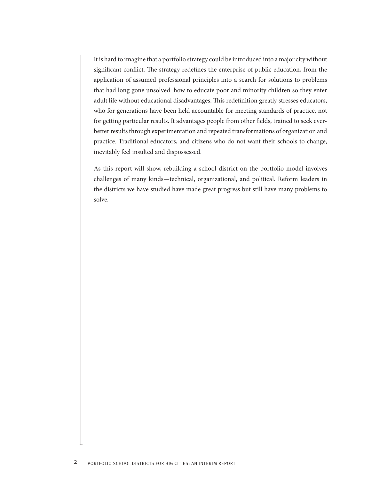It is hard to imagine that a portfolio strategy could be introduced into a major city without significant conflict. The strategy redefines the enterprise of public education, from the application of assumed professional principles into a search for solutions to problems that had long gone unsolved: how to educate poor and minority children so they enter adult life without educational disadvantages. This redefinition greatly stresses educators, who for generations have been held accountable for meeting standards of practice, not for getting particular results. It advantages people from other fields, trained to seek everbetter results through experimentation and repeated transformations of organization and practice. Traditional educators, and citizens who do not want their schools to change, inevitably feel insulted and dispossessed.

As this report will show, rebuilding a school district on the portfolio model involves challenges of many kinds—technical, organizational, and political. Reform leaders in the districts we have studied have made great progress but still have many problems to solve.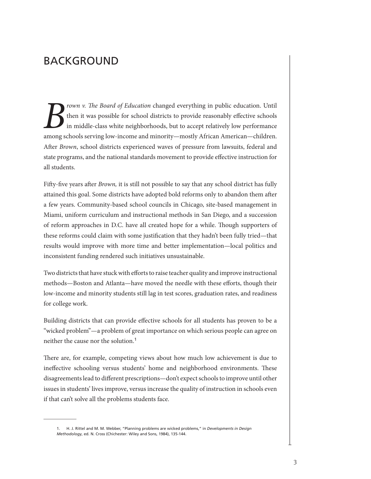### <span id="page-8-0"></span>BACKGROUND

*Frown v. The Board of Education* changed everything in public education. Until<br>then it was possible for school districts to provide reasonably effective schools<br>in middle-class white neighborhoods, but to accept relativel then it was possible for school districts to provide reasonably effective schools in middle-class white neighborhoods, but to accept relatively low performance among schools serving low-income and minority—mostly African American—children. After *Brown*, school districts experienced waves of pressure from lawsuits, federal and state programs, and the national standards movement to provide effective instruction for all students.

Fifty-five years after *Brown,* it is still not possible to say that any school district has fully attained this goal. Some districts have adopted bold reforms only to abandon them after a few years. Community-based school councils in Chicago, site-based management in Miami, uniform curriculum and instructional methods in San Diego, and a succession of reform approaches in D.C. have all created hope for a while. Though supporters of these reforms could claim with some justification that they hadn't been fully tried—that results would improve with more time and better implementation—local politics and inconsistent funding rendered such initiatives unsustainable.

Two districts that have stuck with efforts to raise teacher quality and improve instructional methods—Boston and Atlanta—have moved the needle with these efforts, though their low-income and minority students still lag in test scores, graduation rates, and readiness for college work.

Building districts that can provide effective schools for all students has proven to be a "wicked problem"—a problem of great importance on which serious people can agree on neither the cause nor the solution.<sup>1</sup>

There are, for example, competing views about how much low achievement is due to ineffective schooling versus students' home and neighborhood environments. These disagreements lead to different prescriptions—don't expect schools to improve until other issues in students' lives improve, versus increase the quality of instruction in schools even if that can't solve all the problems students face.

<sup>1.</sup> H. J. Rittel and M. M. Webber, "Planning problems are wicked problems," in *Developments in Design Methodology*, ed. N. Cross (Chichester: Wiley and Sons, 1984), 135-144.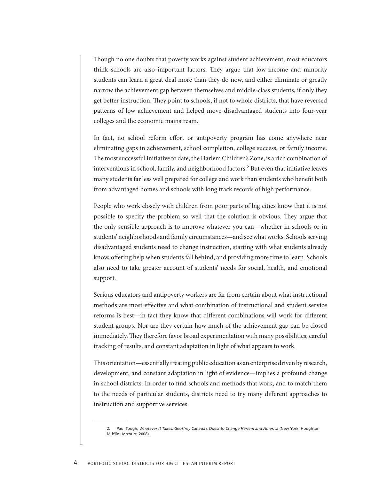Though no one doubts that poverty works against student achievement, most educators think schools are also important factors. They argue that low-income and minority students can learn a great deal more than they do now, and either eliminate or greatly narrow the achievement gap between themselves and middle-class students, if only they get better instruction. They point to schools, if not to whole districts, that have reversed patterns of low achievement and helped move disadvantaged students into four-year colleges and the economic mainstream.

In fact, no school reform effort or antipoverty program has come anywhere near eliminating gaps in achievement, school completion, college success, or family income. The most successful initiative to date, the Harlem Children's Zone, is a rich combination of interventions in school, family, and neighborhood factors.<sup>2</sup> But even that initiative leaves many students far less well prepared for college and work than students who benefit both from advantaged homes and schools with long track records of high performance.

People who work closely with children from poor parts of big cities know that it is not possible to specify the problem so well that the solution is obvious. They argue that the only sensible approach is to improve whatever you can—whether in schools or in students' neighborhoods and family circumstances—and see what works. Schools serving disadvantaged students need to change instruction, starting with what students already know, offering help when students fall behind, and providing more time to learn. Schools also need to take greater account of students' needs for social, health, and emotional support.

Serious educators and antipoverty workers are far from certain about what instructional methods are most effective and what combination of instructional and student service reforms is best—in fact they know that different combinations will work for different student groups. Nor are they certain how much of the achievement gap can be closed immediately. They therefore favor broad experimentation with many possibilities, careful tracking of results, and constant adaptation in light of what appears to work.

This orientation—essentially treating public education as an enterprise driven by research, development, and constant adaptation in light of evidence—implies a profound change in school districts. In order to find schools and methods that work, and to match them to the needs of particular students, districts need to try many different approaches to instruction and supportive services.

<sup>2.</sup> Paul Tough, *Whatever It Takes: Geoffrey Canada's Quest to Change Harlem and America* (New York: Houghton Mifflin Harcourt, 2008).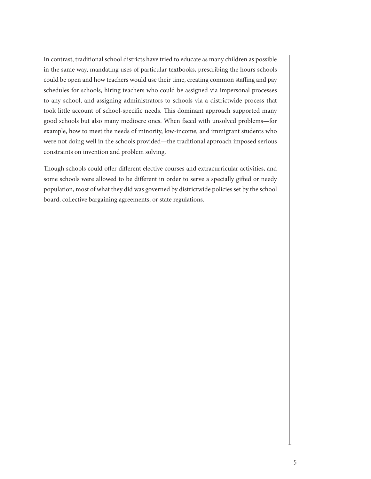In contrast, traditional school districts have tried to educate as many children as possible in the same way, mandating uses of particular textbooks, prescribing the hours schools could be open and how teachers would use their time, creating common staffing and pay schedules for schools, hiring teachers who could be assigned via impersonal processes to any school, and assigning administrators to schools via a districtwide process that took little account of school-specific needs. This dominant approach supported many good schools but also many mediocre ones. When faced with unsolved problems—for example, how to meet the needs of minority, low-income, and immigrant students who were not doing well in the schools provided—the traditional approach imposed serious constraints on invention and problem solving.

Though schools could offer different elective courses and extracurricular activities, and some schools were allowed to be different in order to serve a specially gifted or needy population, most of what they did was governed by districtwide policies set by the school board, collective bargaining agreements, or state regulations.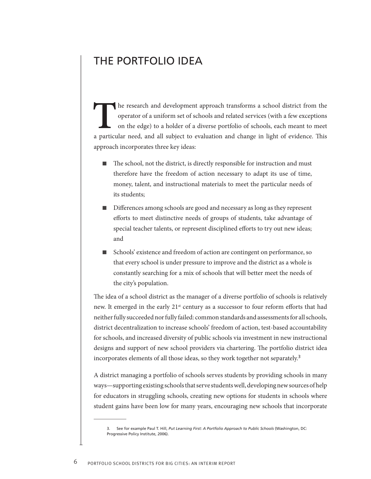### <span id="page-11-0"></span>THE PORTFOLIO IDEA

The research and development approach transforms a school district from the operator of a uniform set of schools and related services (with a few exceptions on the edge) to a holder of a diverse portfolio of schools, each operator of a uniform set of schools and related services (with a few exceptions on the edge) to a holder of a diverse portfolio of schools, each meant to meet a particular need, and all subject to evaluation and change in light of evidence. This approach incorporates three key ideas:

- The school, not the district, is directly responsible for instruction and must therefore have the freedom of action necessary to adapt its use of time, money, talent, and instructional materials to meet the particular needs of its students;
- Differences among schools are good and necessary as long as they represent efforts to meet distinctive needs of groups of students, take advantage of special teacher talents, or represent disciplined efforts to try out new ideas; and
- Schools' existence and freedom of action are contingent on performance, so that every school is under pressure to improve and the district as a whole is constantly searching for a mix of schools that will better meet the needs of the city's population.

The idea of a school district as the manager of a diverse portfolio of schools is relatively new. It emerged in the early 21<sup>st</sup> century as a successor to four reform efforts that had neither fully succeeded nor fully failed: common standards and assessments for all schools, district decentralization to increase schools' freedom of action, test-based accountability for schools, and increased diversity of public schools via investment in new instructional designs and support of new school providers via chartering. The portfolio district idea incorporates elements of all those ideas, so they work together not separately.<sup>3</sup>

A district managing a portfolio of schools serves students by providing schools in many ways—supporting existing schools that serve students well, developing new sources of help for educators in struggling schools, creating new options for students in schools where student gains have been low for many years, encouraging new schools that incorporate

<sup>3.</sup> See for example Paul T. Hill, *Put Learning First: A Portfolio Approach to Public Schools* (Washington, DC: Progressive Policy Institute, 2006).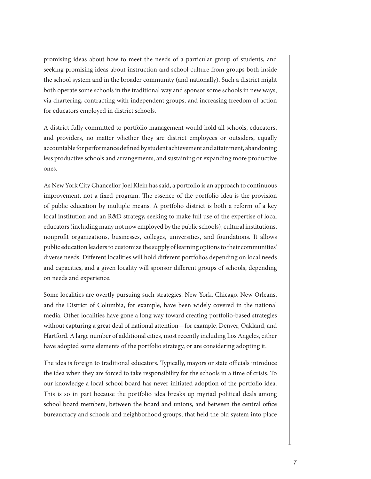promising ideas about how to meet the needs of a particular group of students, and seeking promising ideas about instruction and school culture from groups both inside the school system and in the broader community (and nationally). Such a district might both operate some schools in the traditional way and sponsor some schools in new ways, via chartering, contracting with independent groups, and increasing freedom of action for educators employed in district schools.

A district fully committed to portfolio management would hold all schools, educators, and providers, no matter whether they are district employees or outsiders, equally accountable for performance defined by student achievement and attainment, abandoning less productive schools and arrangements, and sustaining or expanding more productive ones.

As New York City Chancellor Joel Klein has said, a portfolio is an approach to continuous improvement, not a fixed program. The essence of the portfolio idea is the provision of public education by multiple means. A portfolio district is both a reform of a key local institution and an R&D strategy, seeking to make full use of the expertise of local educators (including many not now employed by the public schools), cultural institutions, nonprofit organizations, businesses, colleges, universities, and foundations. It allows public education leaders to customize the supply of learning options to their communities' diverse needs. Different localities will hold different portfolios depending on local needs and capacities, and a given locality will sponsor different groups of schools, depending on needs and experience.

Some localities are overtly pursuing such strategies. New York, Chicago, New Orleans, and the District of Columbia, for example, have been widely covered in the national media. Other localities have gone a long way toward creating portfolio-based strategies without capturing a great deal of national attention—for example, Denver, Oakland, and Hartford. A large number of additional cities, most recently including Los Angeles, either have adopted some elements of the portfolio strategy, or are considering adopting it.

The idea is foreign to traditional educators. Typically, mayors or state officials introduce the idea when they are forced to take responsibility for the schools in a time of crisis. To our knowledge a local school board has never initiated adoption of the portfolio idea. This is so in part because the portfolio idea breaks up myriad political deals among school board members, between the board and unions, and between the central office bureaucracy and schools and neighborhood groups, that held the old system into place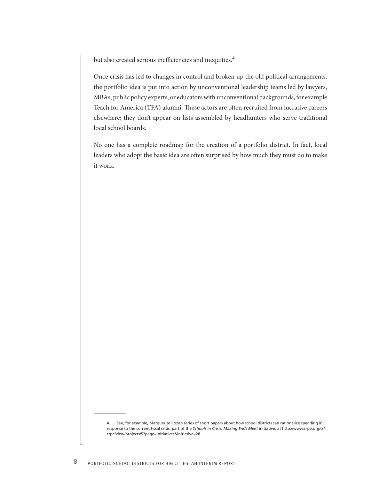but also created serious inefficiencies and inequities.<sup>4</sup>

Once crisis has led to changes in control and broken up the old political arrangements, the portfolio idea is put into action by unconventional leadership teams led by lawyers, MBAs, public policy experts, or educators with unconventional backgrounds, for example Teach for America (TFA) alumni. These actors are often recruited from lucrative careers elsewhere; they don't appear on lists assembled by headhunters who serve traditional local school boards.

No one has a complete roadmap for the creation of a portfolio district. In fact, local leaders who adopt the basic idea are often surprised by how much they must do to make it work.

<sup>4.</sup> See, for example, Marguerite Roza's series of short papers about how school districts can rationalize spending in response to the current fiscal crisis, part of the *Schools in Crisis: Making Ends Meet* initiative, at http://www.crpe.org/cs/ crpe/view/projects/5?page=initiatives&initiative=28.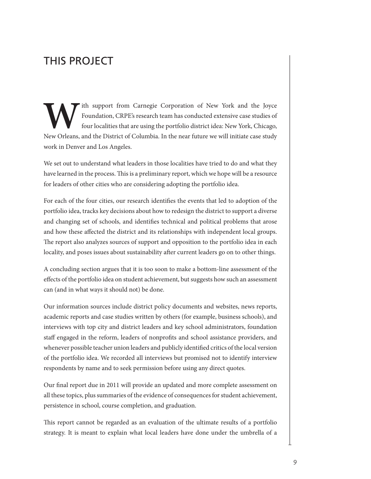# <span id="page-14-0"></span>THIS PROJECT

Foundation, CRPE's research team has conducted extensive case studies of four localities that are using the portfolio district idea: New York, Chicago, New Orleans, and the District of Columbia. In the near future we will Foundation, CRPE's research team has conducted extensive case studies of four localities that are using the portfolio district idea: New York, Chicago, New Orleans, and the District of Columbia. In the near future we will initiate case study work in Denver and Los Angeles.

We set out to understand what leaders in those localities have tried to do and what they have learned in the process. This is a preliminary report, which we hope will be a resource for leaders of other cities who are considering adopting the portfolio idea.

For each of the four cities, our research identifies the events that led to adoption of the portfolio idea, tracks key decisions about how to redesign the district to support a diverse and changing set of schools, and identifies technical and political problems that arose and how these affected the district and its relationships with independent local groups. The report also analyzes sources of support and opposition to the portfolio idea in each locality, and poses issues about sustainability after current leaders go on to other things.

A concluding section argues that it is too soon to make a bottom-line assessment of the effects of the portfolio idea on student achievement, but suggests how such an assessment can (and in what ways it should not) be done.

Our information sources include district policy documents and websites, news reports, academic reports and case studies written by others (for example, business schools), and interviews with top city and district leaders and key school administrators, foundation staff engaged in the reform, leaders of nonprofits and school assistance providers, and whenever possible teacher union leaders and publicly identified critics of the local version of the portfolio idea. We recorded all interviews but promised not to identify interview respondents by name and to seek permission before using any direct quotes.

Our final report due in 2011 will provide an updated and more complete assessment on all these topics, plus summaries of the evidence of consequences for student achievement, persistence in school, course completion, and graduation.

This report cannot be regarded as an evaluation of the ultimate results of a portfolio strategy. It is meant to explain what local leaders have done under the umbrella of a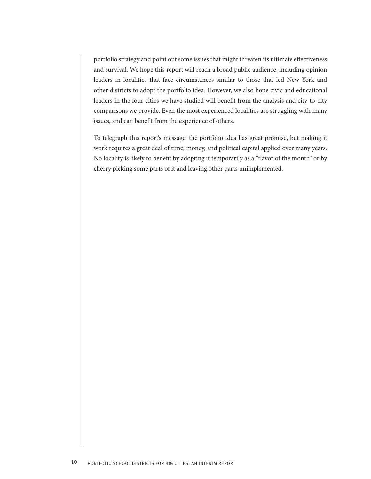portfolio strategy and point out some issues that might threaten its ultimate effectiveness and survival. We hope this report will reach a broad public audience, including opinion leaders in localities that face circumstances similar to those that led New York and other districts to adopt the portfolio idea. However, we also hope civic and educational leaders in the four cities we have studied will benefit from the analysis and city-to-city comparisons we provide. Even the most experienced localities are struggling with many issues, and can benefit from the experience of others.

To telegraph this report's message: the portfolio idea has great promise, but making it work requires a great deal of time, money, and political capital applied over many years. No locality is likely to benefit by adopting it temporarily as a "flavor of the month" or by cherry picking some parts of it and leaving other parts unimplemented.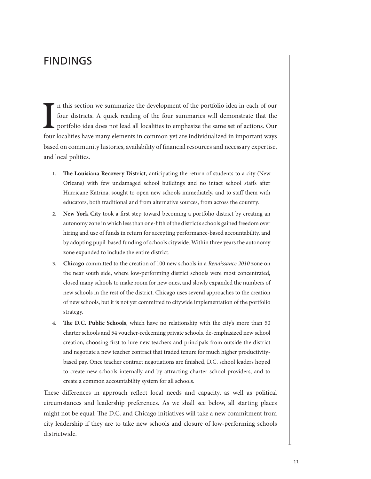### <span id="page-16-0"></span>FINDINGS

II is section we summarize the development of the portfolio idea in each of our four districts. A quick reading of the four summaries will demonstrate that the portfolio idea does not lead all localities to emphasize the s n this section we summarize the development of the portfolio idea in each of our four districts. A quick reading of the four summaries will demonstrate that the portfolio idea does not lead all localities to emphasize the same set of actions. Our based on community histories, availability of financial resources and necessary expertise, and local politics.

- **1. The Louisiana Recovery District**, anticipating the return of students to a city (New Orleans) with few undamaged school buildings and no intact school staffs after Hurricane Katrina, sought to open new schools immediately, and to staff them with educators, both traditional and from alternative sources, from across the country.
- **2. New York City** took a first step toward becoming a portfolio district by creating an autonomy zone in which less than one-fifth of the district's schools gained freedom over hiring and use of funds in return for accepting performance-based accountability, and by adopting pupil-based funding of schools citywide. Within three years the autonomy zone expanded to include the entire district.
- **3. Chicago** committed to the creation of 100 new schools in a *Renaissance 2010* zone on the near south side, where low-performing district schools were most concentrated, closed many schools to make room for new ones, and slowly expanded the numbers of new schools in the rest of the district. Chicago uses several approaches to the creation of new schools, but it is not yet committed to citywide implementation of the portfolio strategy.
- **4. The D.C. Public Schools**, which have no relationship with the city's more than 50 charter schools and 54 voucher-redeeming private schools, de-emphasized new school creation, choosing first to lure new teachers and principals from outside the district and negotiate a new teacher contract that traded tenure for much higher productivitybased pay. Once teacher contract negotiations are finished, D.C. school leaders hoped to create new schools internally and by attracting charter school providers, and to create a common accountability system for all schools.

These differences in approach reflect local needs and capacity, as well as political circumstances and leadership preferences. As we shall see below, all starting places might not be equal. The D.C. and Chicago initiatives will take a new commitment from city leadership if they are to take new schools and closure of low-performing schools districtwide.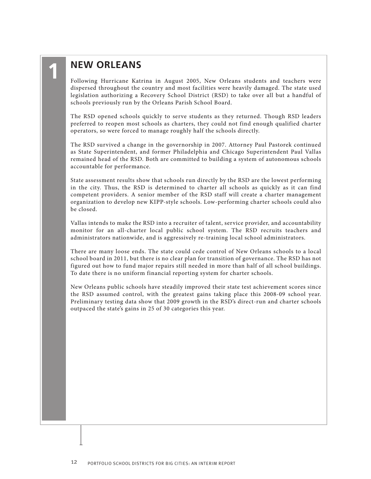### **New Orleans**

<span id="page-17-0"></span>**1**

Following Hurricane Katrina in August 2005, New Orleans students and teachers were dispersed throughout the country and most facilities were heavily damaged. The state used legislation authorizing a Recovery School District (RSD) to take over all but a handful of schools previously run by the Orleans Parish School Board.

The RSD opened schools quickly to serve students as they returned. Though RSD leaders preferred to reopen most schools as charters, they could not find enough qualified charter operators, so were forced to manage roughly half the schools directly.

The RSD survived a change in the governorship in 2007. Attorney Paul Pastorek continued as State Superintendent, and former Philadelphia and Chicago Superintendent Paul Vallas remained head of the RSD. Both are committed to building a system of autonomous schools accountable for performance.

State assessment results show that schools run directly by the RSD are the lowest performing in the city. Thus, the RSD is determined to charter all schools as quickly as it can find competent providers. A senior member of the RSD staff will create a charter management organization to develop new KIPP-style schools. Low-performing charter schools could also be closed.

Vallas intends to make the RSD into a recruiter of talent, service provider, and accountability monitor for an all-charter local public school system. The RSD recruits teachers and administrators nationwide, and is aggressively re-training local school administrators.

There are many loose ends. The state could cede control of New Orleans schools to a local school board in 2011, but there is no clear plan for transition of governance. The RSD has not figured out how to fund major repairs still needed in more than half of all school buildings. To date there is no uniform financial reporting system for charter schools.

New Orleans public schools have steadily improved their state test achievement scores since the RSD assumed control, with the greatest gains taking place this 2008-09 school year. Preliminary testing data show that 2009 growth in the RSD's direct-run and charter schools outpaced the state's gains in 25 of 30 categories this year.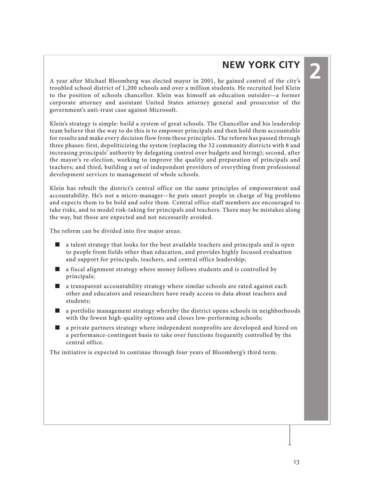## **New York City**

**2**

<span id="page-18-0"></span>A year after Michael Bloomberg was elected mayor in 2001, he gained control of the city's troubled school district of 1,200 schools and over a million students. He recruited Joel Klein to the position of schools chancellor. Klein was himself an education outsider—a former corporate attorney and assistant United States attorney general and prosecutor of the government's anti-trust case against Microsoft.

Klein's strategy is simple: build a system of great schools. The Chancellor and his leadership team believe that the way to do this is to empower principals and then hold them accountable for results and make every decision flow from these principles. The reform has passed through three phases: first, depoliticizing the system (replacing the 32 community districts with 8 and increasing principals' authority by delegating control over budgets and hiring); second, after the mayor's re-election, working to improve the quality and preparation of principals and teachers; and third, building a set of independent providers of everything from professional development services to management of whole schools.

Klein has rebuilt the district's central office on the same principles of empowerment and accountability. He's not a micro-manager—he puts smart people in charge of big problems and expects them to be bold and solve them. Central office staff members are encouraged to take risks, and to model risk-taking for principals and teachers. There may be mistakes along the way, but those are expected and not necessarily avoided.

The reform can be divided into five major areas:

- a talent strategy that looks for the best available teachers and principals and is open to people from fields other than education, and provides highly focused evaluation and support for principals, teachers, and central office leadership;
- a fiscal alignment strategy where money follows students and is controlled by principals;
- a transparent accountability strategy where similar schools are rated against each other and educators and researchers have ready access to data about teachers and students;
- a portfolio management strategy whereby the district opens schools in neighborhoods with the fewest high-quality options and closes low-performing schools;
- a private partners strategy where independent nonprofits are developed and hired on a performance-contingent basis to take over functions frequently controlled by the central office.

The initiative is expected to continue through four years of Bloomberg's third term.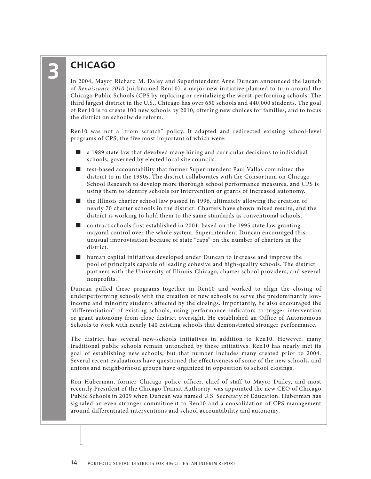# **Chicago**

In 2004, Mayor Richard M. Daley and Superintendent Arne Duncan announced the launch of *Renaissance 2010* (nicknamed Ren10), a major new initiative planned to turn around the Chicago Public Schools (CPS by replacing or revitalizing the worst-performing schools. The third largest district in the U.S., Chicago has over 650 schools and 440,000 students. The goal of Ren10 is to create 100 new schools by 2010, offering new choices for families, and to focus the district on schoolwide reform.

Ren10 was not a "from scratch" policy. It adapted and redirected existing school-level programs of CPS, the five most important of which were:

- a 1989 state law that devolved many hiring and curricular decisions to individual schools, governed by elected local site councils.
- test-based accountability that former Superintendent Paul Vallas committed the district to in the 1990s. The district collaborates with the Consortium on Chicago School Research to develop more thorough school performance measures, and CPS is using them to identify schools for intervention or grants of increased autonomy.
- the Illinois charter school law passed in 1996, ultimately allowing the creation of nearly 70 charter schools in the district. Charters have shown mixed results, and the district is working to hold them to the same standards as conventional schools.
- contract schools first established in 2001, based on the 1995 state law granting mayoral control over the whole system. Superintendent Duncan encouraged this unusual improvisation because of state "caps" on the number of charters in the district.
- human capital initiatives developed under Duncan to increase and improve the pool of principals capable of leading cohesive and high-quality schools. The district partners with the University of Illinois-Chicago, charter school providers, and several nonprofits.

Duncan pulled these programs together in Ren10 and worked to align the closing of underperforming schools with the creation of new schools to serve the predominantly lowincome and minority students affected by the closings. Importantly, he also encouraged the "differentiation" of existing schools, using performance indicators to trigger intervention or grant autonomy from close district oversight. He established an Office of Autonomous Schools to work with nearly 140 existing schools that demonstrated stronger performance.

The district has several new-schools initiatives in addition to Ren10. However, many traditional public schools remain untouched by these initiatives. Ren10 has nearly met its goal of establishing new schools, but that number includes many created prior to 2004. Several recent evaluations have questioned the effectiveness of some of the new schools, and unions and neighborhood groups have organized in opposition to school closings.

Ron Huberman, former Chicago police officer, chief of staff to Mayor Dailey, and most recently President of the Chicago Transit Authority, was appointed the new CEO of Chicago Public Schools in 2009 when Duncan was named U.S. Secretary of Education. Huberman has signaled an even stronger commitment to Ren10 and a consolidation of CPS management around differentiated interventions and school accountability and autonomy.

<span id="page-19-0"></span>**3**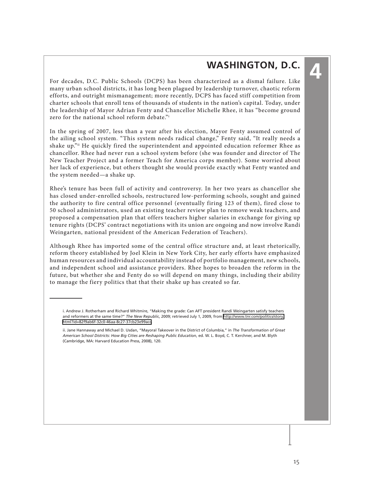### **Washington, D.C.**

**4**

<span id="page-20-0"></span>For decades, D.C. Public Schools (DCPS) has been characterized as a dismal failure. Like many urban school districts, it has long been plagued by leadership turnover, chaotic reform efforts, and outright mismanagement; more recently, DCPS has faced stiff competition from charter schools that enroll tens of thousands of students in the nation's capital. Today, under the leadership of Mayor Adrian Fenty and Chancellor Michelle Rhee, it has "become ground zero for the national school reform debate."i

In the spring of 2007, less than a year after his election, Mayor Fenty assumed control of the ailing school system. "This system needs radical change," Fenty said, "It really needs a shake up."ii He quickly fired the superintendent and appointed education reformer Rhee as chancellor. Rhee had never run a school system before (she was founder and director of The New Teacher Project and a former Teach for America corps member). Some worried about her lack of experience, but others thought she would provide exactly what Fenty wanted and the system needed—a shake up.

Rhee's tenure has been full of activity and controversy. In her two years as chancellor she has closed under-enrolled schools, restructured low-performing schools, sought and gained the authority to fire central office personnel (eventually firing 123 of them), fired close to 50 school administrators, used an existing teacher review plan to remove weak teachers, and proposed a compensation plan that offers teachers higher salaries in exchange for giving up tenure rights (DCPS' contract negotiations with its union are ongoing and now involve Randi Weingarten, national president of the American Federation of Teachers).

Although Rhee has imported some of the central office structure and, at least rhetorically, reform theory established by Joel Klein in New York City, her early efforts have emphasized human resources and individual accountability instead of portfolio management, new schools, and independent school and assistance providers. Rhee hopes to broaden the reform in the future, but whether she and Fenty do so will depend on many things, including their ability to manage the fiery politics that that their shake up has created so far.

i. Andrew J. Rotherham and Richard Whitmire, "Making the grade: Can AFT president Randi Weingarten satisfy teachers and reformers at the same time?" *The New Republic*, 2009; retrieved July 1, 2009, from [http://www.tnr.com/politics/story.](http://www.tnr.com/politics/story.html?id=82f9ab6f-32c0-46aa-8c27-37cb23e99acc) [html?id=82f9ab6f-32c0-46aa-8c27-37cb23e99acc.](http://www.tnr.com/politics/story.html?id=82f9ab6f-32c0-46aa-8c27-37cb23e99acc)

ii. Jane Hannaway and Michael D. Usdan, "Mayoral Takeover in the District of Columbia," in *The Transformation of Great American School Districts: How Big Cities are Reshaping Public Education*, ed. W. L. Boyd, C. T. Kerchner, and M. Blyth (Cambridge, MA: Harvard Education Press, 2008), 120.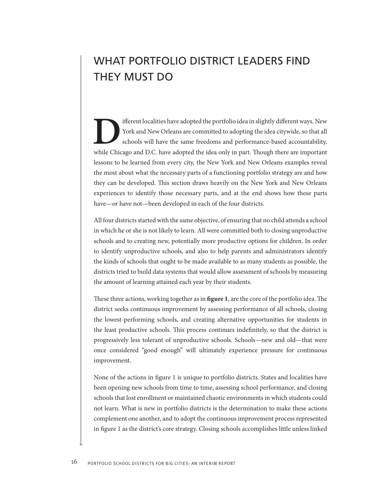# <span id="page-21-0"></span>WHAT PORTFOLIO DISTRICT LEADERS FIND THEY MUST DO

Ifferent localities have adopted the portfolio idea in slightly different ways. New York and New Orleans are committed to adopting the idea citywide, so that all schools will have the same freedoms and performance-based ac York and New Orleans are committed to adopting the idea citywide, so that all schools will have the same freedoms and performance-based accountability, while Chicago and D.C. have adopted the idea only in part. Though there are important lessons to be learned from every city, the New York and New Orleans examples reveal the most about what the necessary parts of a functioning portfolio strategy are and how they can be developed. This section draws heavily on the New York and New Orleans experiences to identify those necessary parts, and at the end shows how these parts have—or have not—been developed in each of the four districts.

All four districts started with the same objective, of ensuring that no child attends a school in which he or she is not likely to learn. All were committed both to closing unproductive schools and to creating new, potentially more productive options for children. In order to identify unproductive schools, and also to help parents and administrators identify the kinds of schools that ought to be made available to as many students as possible, the districts tried to build data systems that would allow assessment of schools by measuring the amount of learning attained each year by their students.

These three actions, working together as in **figure 1**, are the core of the portfolio idea. The district seeks continuous improvement by assessing performance of all schools, closing the lowest-performing schools, and creating alternative opportunities for students in the least productive schools. This process continues indefinitely, so that the district is progressively less tolerant of unproductive schools. Schools—new and old—that were once considered "good enough" will ultimately experience pressure for continuous improvement.

None of the actions in figure 1 is unique to portfolio districts. States and localities have been opening new schools from time to time, assessing school performance, and closing schools that lost enrollment or maintained chaotic environments in which students could not learn. What is new in portfolio districts is the determination to make these actions complement one another, and to adopt the continuous improvement process represented in figure 1 as the district's core strategy. Closing schools accomplishes little unless linked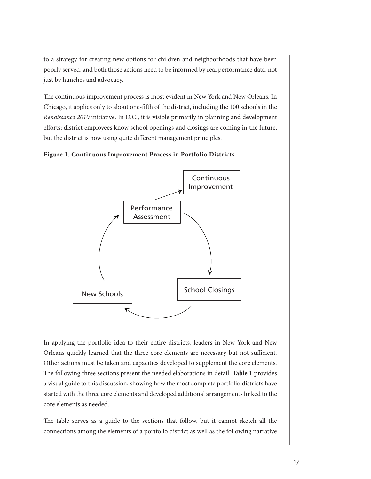to a strategy for creating new options for children and neighborhoods that have been poorly served, and both those actions need to be informed by real performance data, not just by hunches and advocacy.

The continuous improvement process is most evident in New York and New Orleans. In Chicago, it applies only to about one-fifth of the district, including the 100 schools in the *Renaissance 2010* initiative. In D.C., it is visible primarily in planning and development efforts; district employees know school openings and closings are coming in the future, but the district is now using quite different management principles.

#### **Figure 1. Continuous Improvement Process in Portfolio Districts**



In applying the portfolio idea to their entire districts, leaders in New York and New Orleans quickly learned that the three core elements are necessary but not sufficient. Other actions must be taken and capacities developed to supplement the core elements. The following three sections present the needed elaborations in detail. **Table 1** provides a visual guide to this discussion, showing how the most complete portfolio districts have started with the three core elements and developed additional arrangements linked to the core elements as needed.

The table serves as a guide to the sections that follow, but it cannot sketch all the connections among the elements of a portfolio district as well as the following narrative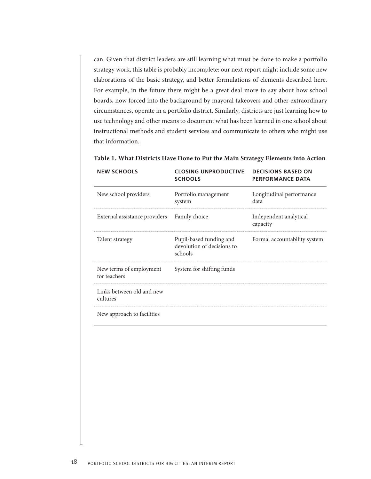can. Given that district leaders are still learning what must be done to make a portfolio strategy work, this table is probably incomplete: our next report might include some new elaborations of the basic strategy, and better formulations of elements described here. For example, in the future there might be a great deal more to say about how school boards, now forced into the background by mayoral takeovers and other extraordinary circumstances, operate in a portfolio district. Similarly, districts are just learning how to use technology and other means to document what has been learned in one school about instructional methods and student services and communicate to others who might use that information.

| <b>NEW SCHOOLS</b>                      | <b>CLOSING UNPRODUCTIVE</b><br><b>SCHOOLS</b>                    | <b>DECISIONS BASED ON</b><br><b>PERFORMANCE DATA</b> |
|-----------------------------------------|------------------------------------------------------------------|------------------------------------------------------|
| New school providers                    | Portfolio management<br>system                                   | Longitudinal performance<br>data                     |
| External assistance providers           | Family choice                                                    | Independent analytical<br>capacity                   |
| Talent strategy                         | Pupil-based funding and<br>devolution of decisions to<br>schools | Formal accountability system                         |
| New terms of employment<br>for teachers | System for shifting funds                                        |                                                      |
| Links between old and new<br>cultures   |                                                                  |                                                      |
| New approach to facilities              |                                                                  |                                                      |

#### **Table 1. What Districts Have Done to Put the Main Strategy Elements into Action**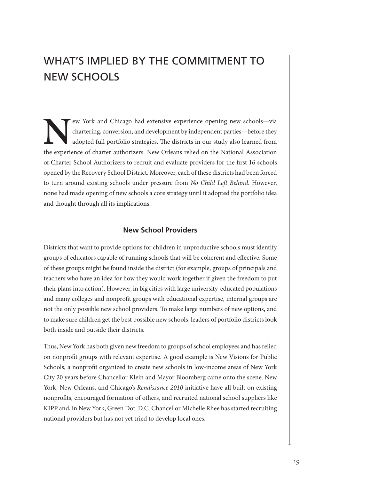# <span id="page-24-0"></span>WHAT'S IMPLIED BY THE COMMITMENT TO NEW SCHOOLS

EW York and Chicago had extensive experience opening new schools—via<br>chartering, conversion, and development by independent parties—before they<br>adopted full portfolio strategies. The districts in our study also learned fro chartering, conversion, and development by independent parties—before they adopted full portfolio strategies. The districts in our study also learned from the experience of charter authorizers. New Orleans relied on the National Association of Charter School Authorizers to recruit and evaluate providers for the first 16 schools opened by the Recovery School District. Moreover, each of these districts had been forced to turn around existing schools under pressure from *No Child Left Behind*. However, none had made opening of new schools a core strategy until it adopted the portfolio idea and thought through all its implications.

#### **New School Providers**

Districts that want to provide options for children in unproductive schools must identify groups of educators capable of running schools that will be coherent and effective. Some of these groups might be found inside the district (for example, groups of principals and teachers who have an idea for how they would work together if given the freedom to put their plans into action). However, in big cities with large university-educated populations and many colleges and nonprofit groups with educational expertise, internal groups are not the only possible new school providers. To make large numbers of new options, and to make sure children get the best possible new schools, leaders of portfolio districts look both inside and outside their districts.

Thus, New York has both given new freedom to groups of school employees and has relied on nonprofit groups with relevant expertise. A good example is New Visions for Public Schools, a nonprofit organized to create new schools in low-income areas of New York City 20 years before Chancellor Klein and Mayor Bloomberg came onto the scene. New York, New Orleans, and Chicago's *Renaissance 2010* initiative have all built on existing nonprofits, encouraged formation of others, and recruited national school suppliers like KIPP and, in New York, Green Dot. D.C. Chancellor Michelle Rhee has started recruiting national providers but has not yet tried to develop local ones.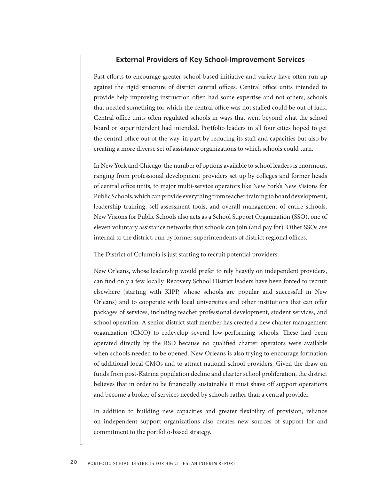#### **External Providers of Key School-Improvement Services**

<span id="page-25-0"></span>Past efforts to encourage greater school-based initiative and variety have often run up against the rigid structure of district central offices. Central office units intended to provide help improving instruction often had some expertise and not others; schools that needed something for which the central office was not staffed could be out of luck. Central office units often regulated schools in ways that went beyond what the school board or superintendent had intended. Portfolio leaders in all four cities hoped to get the central office out of the way, in part by reducing its staff and capacities but also by creating a more diverse set of assistance organizations to which schools could turn.

In New York and Chicago, the number of options available to school leaders is enormous, ranging from professional development providers set up by colleges and former heads of central office units, to major multi-service operators like New York's New Visions for Public Schools, which can provide everything from teacher training to board development, leadership training, self-assessment tools, and overall management of entire schools. New Visions for Public Schools also acts as a School Support Organization (SSO), one of eleven voluntary assistance networks that schools can join (and pay for). Other SSOs are internal to the district, run by former superintendents of district regional offices.

The District of Columbia is just starting to recruit potential providers.

New Orleans, whose leadership would prefer to rely heavily on independent providers, can find only a few locally. Recovery School District leaders have been forced to recruit elsewhere (starting with KIPP, whose schools are popular and successful in New Orleans) and to cooperate with local universities and other institutions that can offer packages of services, including teacher professional development, student services, and school operation. A senior district staff member has created a new charter management organization (CMO) to redevelop several low-performing schools. These had been operated directly by the RSD because no qualified charter operators were available when schools needed to be opened. New Orleans is also trying to encourage formation of additional local CMOs and to attract national school providers. Given the draw on funds from post-Katrina population decline and charter school proliferation, the district believes that in order to be financially sustainable it must shave off support operations and become a broker of services needed by schools rather than a central provider.

In addition to building new capacities and greater flexibility of provision, reliance on independent support organizations also creates new sources of support for and commitment to the portfolio-based strategy.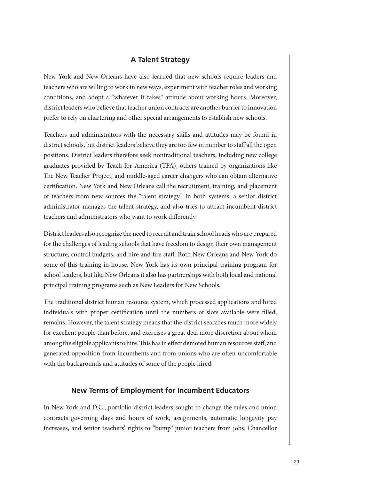#### **A Talent Strategy**

<span id="page-26-0"></span>New York and New Orleans have also learned that new schools require leaders and teachers who are willing to work in new ways, experiment with teacher roles and working conditions, and adopt a "whatever it takes" attitude about working hours. Moreover, district leaders who believe that teacher union contracts are another barrier to innovation prefer to rely on chartering and other special arrangements to establish new schools.

Teachers and administrators with the necessary skills and attitudes may be found in district schools, but district leaders believe they are too few in number to staff all the open positions. District leaders therefore seek nontraditional teachers, including new college graduates provided by Teach for America (TFA), others trained by organizations like The New Teacher Project, and middle-aged career changers who can obtain alternative certification. New York and New Orleans call the recruitment, training, and placement of teachers from new sources the "talent strategy." In both systems, a senior district administrator manages the talent strategy, and also tries to attract incumbent district teachers and administrators who want to work differently.

District leaders also recognize the need to recruit and train school heads who are prepared for the challenges of leading schools that have freedom to design their own management structure, control budgets, and hire and fire staff. Both New Orleans and New York do some of this training in-house. New York has its own principal training program for school leaders, but like New Orleans it also has partnerships with both local and national principal training programs such as New Leaders for New Schools.

The traditional district human resource system, which processed applications and hired individuals with proper certification until the numbers of slots available were filled, remains. However, the talent strategy means that the district searches much more widely for excellent people than before, and exercises a great deal more discretion about whom among the eligible applicants to hire. This has in effect demoted human resources staff, and generated opposition from incumbents and from unions who are often uncomfortable with the backgrounds and attitudes of some of the people hired.

#### **New Terms of Employment for Incumbent Educators**

In New York and D.C., portfolio district leaders sought to change the rules and union contracts governing days and hours of work, assignments, automatic longevity pay increases, and senior teachers' rights to "bump" junior teachers from jobs. Chancellor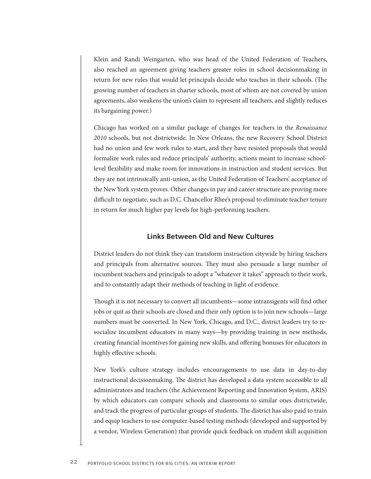<span id="page-27-0"></span>Klein and Randi Weingarten, who was head of the United Federation of Teachers, also reached an agreement giving teachers greater roles in school decisionmaking in return for new rules that would let principals decide who teaches in their schools. (The growing number of teachers in charter schools, most of whom are not covered by union agreements, also weakens the union's claim to represent all teachers, and slightly reduces its bargaining power.)

Chicago has worked on a similar package of changes for teachers in the *Renaissance 2010* schools, but not districtwide. In New Orleans, the new Recovery School District had no union and few work rules to start, and they have resisted proposals that would formalize work rules and reduce principals' authority, actions meant to increase schoollevel flexibility and make room for innovations in instruction and student services. But they are not intrinsically anti-union, as the United Federation of Teachers' acceptance of the New York system proves. Other changes in pay and career structure are proving more difficult to negotiate, such as D.C. Chancellor Rhee's proposal to eliminate teacher tenure in return for much higher pay levels for high-performing teachers.

#### **Links Between Old and New Cultures**

District leaders do not think they can transform instruction citywide by hiring teachers and principals from alternative sources. They must also persuade a large number of incumbent teachers and principals to adopt a "whatever it takes" approach to their work, and to constantly adapt their methods of teaching in light of evidence.

Though it is not necessary to convert all incumbents—some intransigents will find other jobs or quit as their schools are closed and their only option is to join new schools—large numbers must be converted. In New York, Chicago, and D.C., district leaders try to resocialize incumbent educators in many ways—by providing training in new methods, creating financial incentives for gaining new skills, and offering bonuses for educators in highly effective schools.

New York's culture strategy includes encouragements to use data in day-to-day instructional decisionmaking. The district has developed a data system accessible to all administrators and teachers (the Achievement Reporting and Innovation System, ARIS) by which educators can compare schools and classrooms to similar ones districtwide, and track the progress of particular groups of students. The district has also paid to train and equip teachers to use computer-based testing methods (developed and supported by a vendor, Wireless Generation) that provide quick feedback on student skill acquisition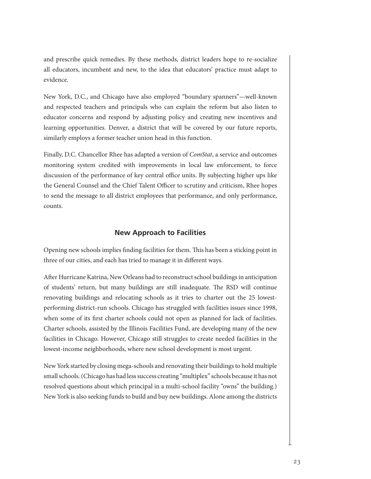<span id="page-28-0"></span>and prescribe quick remedies. By these methods, district leaders hope to re-socialize all educators, incumbent and new, to the idea that educators' practice must adapt to evidence.

New York, D.C., and Chicago have also employed "boundary spanners"—well-known and respected teachers and principals who can explain the reform but also listen to educator concerns and respond by adjusting policy and creating new incentives and learning opportunities. Denver, a district that will be covered by our future reports, similarly employs a former teacher union head in this function.

Finally, D.C. Chancellor Rhee has adapted a version of *ComStat*, a service and outcomes monitoring system credited with improvements in local law enforcement, to force discussion of the performance of key central office units. By subjecting higher ups like the General Counsel and the Chief Talent Officer to scrutiny and criticism, Rhee hopes to send the message to all district employees that performance, and only performance, counts.

#### **New Approach to Facilities**

Opening new schools implies finding facilities for them. This has been a sticking point in three of our cities, and each has tried to manage it in different ways.

After Hurricane Katrina, New Orleans had to reconstruct school buildings in anticipation of students' return, but many buildings are still inadequate. The RSD will continue renovating buildings and relocating schools as it tries to charter out the 25 lowestperforming district-run schools. Chicago has struggled with facilities issues since 1998, when some of its first charter schools could not open as planned for lack of facilities. Charter schools, assisted by the Illinois Facilities Fund, are developing many of the new facilities in Chicago. However, Chicago still struggles to create needed facilities in the lowest-income neighborhoods, where new school development is most urgent.

New York started by closing mega-schools and renovating their buildings to hold multiple small schools. (Chicago has had less success creating "multiplex" schools because it has not resolved questions about which principal in a multi-school facility "owns" the building.) New York is also seeking funds to build and buy new buildings. Alone among the districts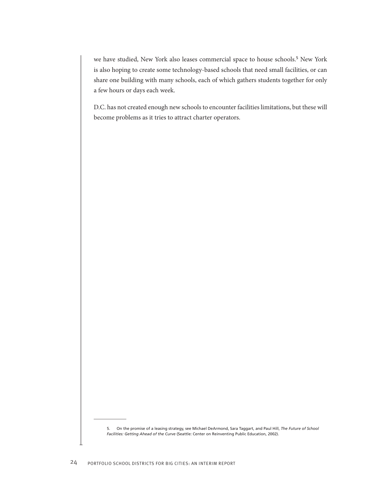we have studied, New York also leases commercial space to house schools.<sup>5</sup> New York is also hoping to create some technology-based schools that need small facilities, or can share one building with many schools, each of which gathers students together for only a few hours or days each week.

D.C. has not created enough new schools to encounter facilities limitations, but these will become problems as it tries to attract charter operators.

<sup>5.</sup> On the promise of a leasing strategy, see Michael DeArmond, Sara Taggart, and Paul Hill, *The Future of School Facilities: Getting Ahead of the Curve* (Seattle: Center on Reinventing Public Education, 2002).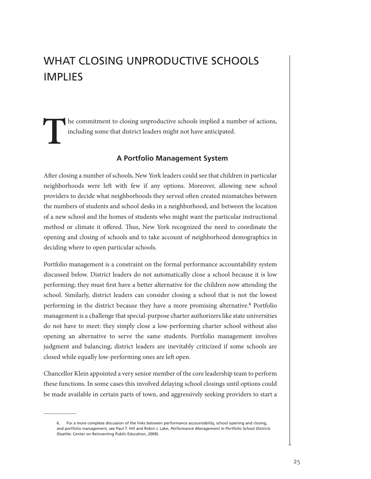# <span id="page-30-0"></span>WHAT CLOSING UNPRODUCTIVE SCHOOLS IMPLIES

**T**he commitment to closing unproductive schools implied a number of actions, including some that district leaders might not have anticipated.

#### **A Portfolio Management System**

After closing a number of schools, New York leaders could see that children in particular neighborhoods were left with few if any options. Moreover, allowing new school providers to decide what neighborhoods they served often created mismatches between the numbers of students and school desks in a neighborhood, and between the location of a new school and the homes of students who might want the particular instructional method or climate it offered. Thus, New York recognized the need to coordinate the opening and closing of schools and to take account of neighborhood demographics in deciding where to open particular schools.

Portfolio management is a constraint on the formal performance accountability system discussed below. District leaders do not automatically close a school because it is low performing; they must first have a better alternative for the children now attending the school. Similarly, district leaders can consider closing a school that is not the lowest performing in the district because they have a more promising alternative.<sup>6</sup> Portfolio management is a challenge that special-purpose charter authorizers like state universities do not have to meet: they simply close a low-performing charter school without also opening an alternative to serve the same students. Portfolio management involves judgment and balancing; district leaders are inevitably criticized if some schools are closed while equally low-performing ones are left open.

Chancellor Klein appointed a very senior member of the core leadership team to perform these functions. In some cases this involved delaying school closings until options could be made available in certain parts of town, and aggressively seeking providers to start a

<sup>6.</sup> For a more complete discussion of the links between performance accountability, school opening and closing, and portfolio management, see Paul T. Hill and Robin J. Lake, *Performance Management in Portfolio School Districts* (Seattle: Center on Reinventing Public Education, 2009).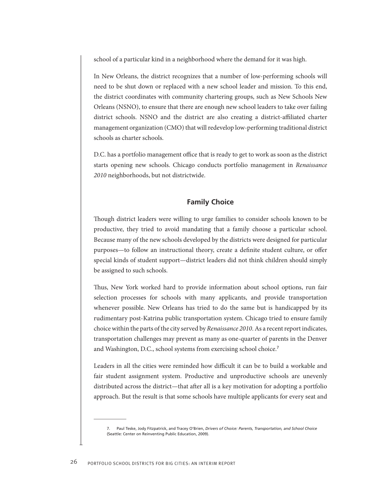<span id="page-31-0"></span>school of a particular kind in a neighborhood where the demand for it was high.

In New Orleans, the district recognizes that a number of low-performing schools will need to be shut down or replaced with a new school leader and mission. To this end, the district coordinates with community chartering groups, such as New Schools New Orleans (NSNO), to ensure that there are enough new school leaders to take over failing district schools. NSNO and the district are also creating a district-affiliated charter management organization (CMO) that will redevelop low-performing traditional district schools as charter schools.

D.C. has a portfolio management office that is ready to get to work as soon as the district starts opening new schools. Chicago conducts portfolio management in *Renaissance 2010* neighborhoods, but not districtwide.

#### **Family Choice**

Though district leaders were willing to urge families to consider schools known to be productive, they tried to avoid mandating that a family choose a particular school. Because many of the new schools developed by the districts were designed for particular purposes—to follow an instructional theory, create a definite student culture, or offer special kinds of student support—district leaders did not think children should simply be assigned to such schools.

Thus, New York worked hard to provide information about school options, run fair selection processes for schools with many applicants, and provide transportation whenever possible. New Orleans has tried to do the same but is handicapped by its rudimentary post-Katrina public transportation system. Chicago tried to ensure family choice within the parts of the city served by *Renaissance 2010*. As a recent report indicates, transportation challenges may prevent as many as one-quarter of parents in the Denver and Washington, D.C., school systems from exercising school choice.<sup>7</sup>

Leaders in all the cities were reminded how difficult it can be to build a workable and fair student assignment system. Productive and unproductive schools are unevenly distributed across the district—that after all is a key motivation for adopting a portfolio approach. But the result is that some schools have multiple applicants for every seat and

<sup>7.</sup> Paul Teske, Jody Fitzpatrick, and Tracey O'Brien, *Drivers of Choice: Parents, Transportation, and School Choice* (Seattle: Center on Reinventing Public Education, 2009).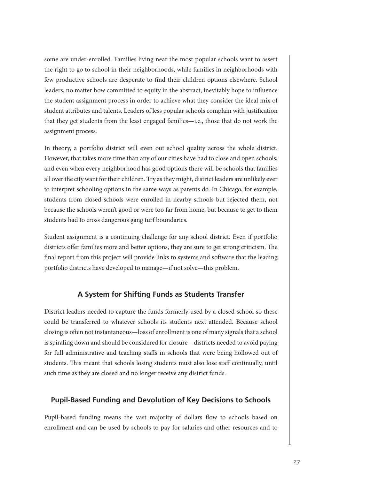<span id="page-32-0"></span>some are under-enrolled. Families living near the most popular schools want to assert the right to go to school in their neighborhoods, while families in neighborhoods with few productive schools are desperate to find their children options elsewhere. School leaders, no matter how committed to equity in the abstract, inevitably hope to influence the student assignment process in order to achieve what they consider the ideal mix of student attributes and talents. Leaders of less popular schools complain with justification that they get students from the least engaged families—i.e., those that do not work the assignment process.

In theory, a portfolio district will even out school quality across the whole district. However, that takes more time than any of our cities have had to close and open schools; and even when every neighborhood has good options there will be schools that families all over the city want for their children. Try as they might, district leaders are unlikely ever to interpret schooling options in the same ways as parents do. In Chicago, for example, students from closed schools were enrolled in nearby schools but rejected them, not because the schools weren't good or were too far from home, but because to get to them students had to cross dangerous gang turf boundaries.

Student assignment is a continuing challenge for any school district. Even if portfolio districts offer families more and better options, they are sure to get strong criticism. The final report from this project will provide links to systems and software that the leading portfolio districts have developed to manage—if not solve—this problem.

#### **A System for Shifting Funds as Students Transfer**

District leaders needed to capture the funds formerly used by a closed school so these could be transferred to whatever schools its students next attended. Because school closing is often not instantaneous—loss of enrollment is one of many signals that a school is spiraling down and should be considered for closure—districts needed to avoid paying for full administrative and teaching staffs in schools that were being hollowed out of students. This meant that schools losing students must also lose staff continually, until such time as they are closed and no longer receive any district funds.

#### **Pupil-Based Funding and Devolution of Key Decisions to Schools**

Pupil-based funding means the vast majority of dollars flow to schools based on enrollment and can be used by schools to pay for salaries and other resources and to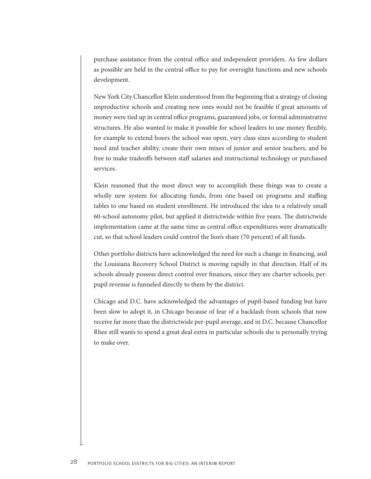purchase assistance from the central office and independent providers. As few dollars as possible are held in the central office to pay for oversight functions and new schools development.

New York City Chancellor Klein understood from the beginning that a strategy of closing unproductive schools and creating new ones would not be feasible if great amounts of money were tied up in central office programs, guaranteed jobs, or formal administrative structures. He also wanted to make it possible for school leaders to use money flexibly, for example to extend hours the school was open, vary class sizes according to student need and teacher ability, create their own mixes of junior and senior teachers, and be free to make tradeoffs between staff salaries and instructional technology or purchased services.

Klein reasoned that the most direct way to accomplish these things was to create a wholly new system for allocating funds, from one based on programs and staffing tables to one based on student enrollment. He introduced the idea to a relatively small 60-school autonomy pilot, but applied it districtwide within five years. The districtwide implementation came at the same time as central office expenditures were dramatically cut, so that school leaders could control the lion's share (70 percent) of all funds.

Other portfolio districts have acknowledged the need for such a change in financing, and the Louisiana Recovery School District is moving rapidly in that direction. Half of its schools already possess direct control over finances, since they are charter schools; perpupil revenue is funneled directly to them by the district.

Chicago and D.C. have acknowledged the advantages of pupil-based funding but have been slow to adopt it, in Chicago because of fear of a backlash from schools that now receive far more than the districtwide per-pupil average, and in D.C. because Chancellor Rhee still wants to spend a great deal extra in particular schools she is personally trying to make over.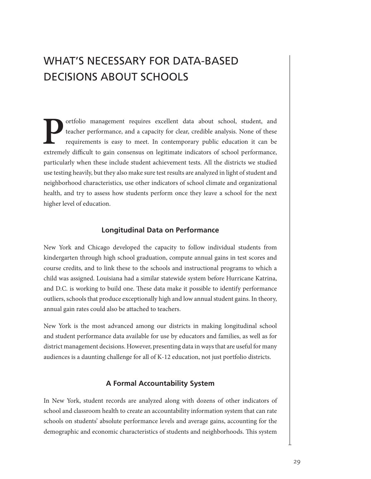# <span id="page-34-0"></span>WHAT'S NECESSARY FOR DATA-BASED DECISIONS ABOUT SCHOOLS

**Portfolio management requires excellent data about school, student, and teacher performance, and a capacity for clear, credible analysis. None of these requirements is easy to meet. In contemporary public education it can** teacher performance, and a capacity for clear, credible analysis. None of these requirements is easy to meet. In contemporary public education it can be extremely difficult to gain consensus on legitimate indicators of school performance, particularly when these include student achievement tests. All the districts we studied use testing heavily, but they also make sure test results are analyzed in light of student and neighborhood characteristics, use other indicators of school climate and organizational health, and try to assess how students perform once they leave a school for the next higher level of education.

#### **Longitudinal Data on Performance**

New York and Chicago developed the capacity to follow individual students from kindergarten through high school graduation, compute annual gains in test scores and course credits, and to link these to the schools and instructional programs to which a child was assigned. Louisiana had a similar statewide system before Hurricane Katrina, and D.C. is working to build one. These data make it possible to identify performance outliers, schools that produce exceptionally high and low annual student gains. In theory, annual gain rates could also be attached to teachers.

New York is the most advanced among our districts in making longitudinal school and student performance data available for use by educators and families, as well as for district management decisions. However, presenting data in ways that are useful for many audiences is a daunting challenge for all of K-12 education, not just portfolio districts.

#### **A Formal Accountability System**

In New York, student records are analyzed along with dozens of other indicators of school and classroom health to create an accountability information system that can rate schools on students' absolute performance levels and average gains, accounting for the demographic and economic characteristics of students and neighborhoods. This system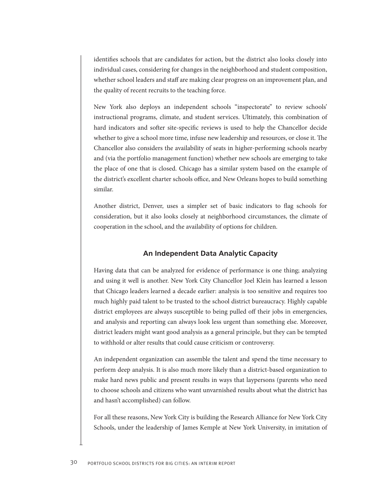<span id="page-35-0"></span>identifies schools that are candidates for action, but the district also looks closely into individual cases, considering for changes in the neighborhood and student composition, whether school leaders and staff are making clear progress on an improvement plan, and the quality of recent recruits to the teaching force.

New York also deploys an independent schools "inspectorate" to review schools' instructional programs, climate, and student services. Ultimately, this combination of hard indicators and softer site-specific reviews is used to help the Chancellor decide whether to give a school more time, infuse new leadership and resources, or close it. The Chancellor also considers the availability of seats in higher-performing schools nearby and (via the portfolio management function) whether new schools are emerging to take the place of one that is closed. Chicago has a similar system based on the example of the district's excellent charter schools office, and New Orleans hopes to build something similar.

Another district, Denver, uses a simpler set of basic indicators to flag schools for consideration, but it also looks closely at neighborhood circumstances, the climate of cooperation in the school, and the availability of options for children.

#### **An Independent Data Analytic Capacity**

Having data that can be analyzed for evidence of performance is one thing; analyzing and using it well is another. New York City Chancellor Joel Klein has learned a lesson that Chicago leaders learned a decade earlier: analysis is too sensitive and requires too much highly paid talent to be trusted to the school district bureaucracy. Highly capable district employees are always susceptible to being pulled off their jobs in emergencies, and analysis and reporting can always look less urgent than something else. Moreover, district leaders might want good analysis as a general principle, but they can be tempted to withhold or alter results that could cause criticism or controversy.

An independent organization can assemble the talent and spend the time necessary to perform deep analysis. It is also much more likely than a district-based organization to make hard news public and present results in ways that laypersons (parents who need to choose schools and citizens who want unvarnished results about what the district has and hasn't accomplished) can follow.

For all these reasons, New York City is building the Research Alliance for New York City Schools, under the leadership of James Kemple at New York University, in imitation of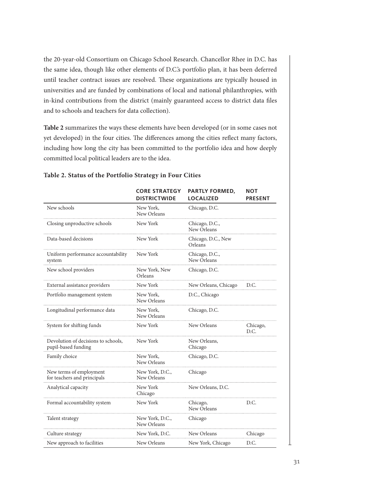the 20-year-old Consortium on Chicago School Research. Chancellor Rhee in D.C. has the same idea, though like other elements of D.C.'s portfolio plan, it has been deferred until teacher contract issues are resolved. These organizations are typically housed in universities and are funded by combinations of local and national philanthropies, with in-kind contributions from the district (mainly guaranteed access to district data files and to schools and teachers for data collection).

**Table 2** summarizes the ways these elements have been developed (or in some cases not yet developed) in the four cities. The differences among the cities reflect many factors, including how long the city has been committed to the portfolio idea and how deeply committed local political leaders are to the idea.

|                                                            | <b>CORE STRATEGY</b><br><b>DISTRICTWIDE</b> | <b>PARTLY FORMED,</b><br><b>LOCALIZED</b> | NOT<br><b>PRESENT</b> |
|------------------------------------------------------------|---------------------------------------------|-------------------------------------------|-----------------------|
| New schools                                                | New York,<br>New Orleans                    | Chicago, D.C.                             |                       |
| Closing unproductive schools                               | New York                                    | Chicago, D.C.,<br>New Orleans             |                       |
| Data-based decisions                                       | New York                                    | Chicago, D.C., New<br>Orleans             |                       |
| Uniform performance accountability<br>system               | New York                                    | Chicago, D.C.,<br>New Orleans             |                       |
| New school providers                                       | New York, New<br>Orleans                    | Chicago, D.C.                             |                       |
| External assistance providers                              | New York                                    | New Orleans, Chicago                      | D.C.                  |
| Portfolio management system                                | New York,<br>New Orleans                    | D.C., Chicago                             |                       |
| Longitudinal performance data                              | New York,<br>New Orleans                    | Chicago, D.C.                             |                       |
| System for shifting funds                                  | New York                                    | New Orleans                               | Chicago,<br>D.C.      |
| Devolution of decisions to schools,<br>pupil-based funding | New York                                    | New Orleans,<br>Chicago                   |                       |
| Family choice                                              | New York,<br>New Orleans                    | Chicago, D.C.                             |                       |
| New terms of employment<br>for teachers and principals     | New York, D.C.,<br>New Orleans              | Chicago                                   |                       |
| Analytical capacity                                        | New York<br>Chicago                         | New Orleans, D.C.                         |                       |
| Formal accountability system                               | New York                                    | Chicago,<br>New Orleans                   | D.C.                  |
| Talent strategy                                            | New York, D.C.,<br>New Orleans              | Chicago                                   |                       |
| Culture strategy                                           | New York, D.C.                              | New Orleans                               | Chicago               |
| New approach to facilities                                 | New Orleans                                 | New York, Chicago                         | D.C.                  |

#### **Table 2. Status of the Portfolio Strategy in Four Cities**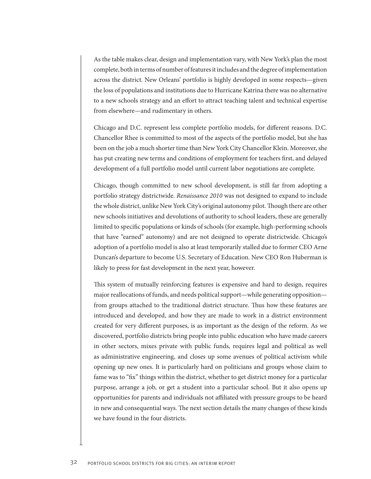As the table makes clear, design and implementation vary, with New York's plan the most complete, both in terms of number of features it includes and the degree of implementation across the district. New Orleans' portfolio is highly developed in some respects—given the loss of populations and institutions due to Hurricane Katrina there was no alternative to a new schools strategy and an effort to attract teaching talent and technical expertise from elsewhere—and rudimentary in others.

Chicago and D.C. represent less complete portfolio models, for different reasons. D.C. Chancellor Rhee is committed to most of the aspects of the portfolio model, but she has been on the job a much shorter time than New York City Chancellor Klein. Moreover, she has put creating new terms and conditions of employment for teachers first, and delayed development of a full portfolio model until current labor negotiations are complete.

Chicago, though committed to new school development, is still far from adopting a portfolio strategy districtwide. *Renaissance 2010* was not designed to expand to include the whole district, unlike New York City's original autonomy pilot. Though there are other new schools initiatives and devolutions of authority to school leaders, these are generally limited to specific populations or kinds of schools (for example, high-performing schools that have "earned" autonomy) and are not designed to operate districtwide. Chicago's adoption of a portfolio model is also at least temporarily stalled due to former CEO Arne Duncan's departure to become U.S. Secretary of Education. New CEO Ron Huberman is likely to press for fast development in the next year, however.

This system of mutually reinforcing features is expensive and hard to design, requires major reallocations of funds, and needs political support—while generating opposition from groups attached to the traditional district structure. Thus how these features are introduced and developed, and how they are made to work in a district environment created for very different purposes, is as important as the design of the reform. As we discovered, portfolio districts bring people into public education who have made careers in other sectors, mixes private with public funds, requires legal and political as well as administrative engineering, and closes up some avenues of political activism while opening up new ones. It is particularly hard on politicians and groups whose claim to fame was to "fix" things within the district, whether to get district money for a particular purpose, arrange a job, or get a student into a particular school. But it also opens up opportunities for parents and individuals not affiliated with pressure groups to be heard in new and consequential ways. The next section details the many changes of these kinds we have found in the four districts.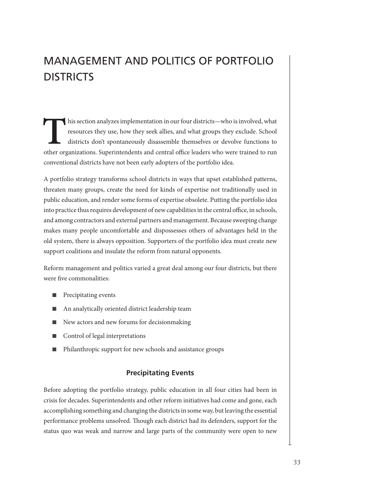# <span id="page-38-0"></span>MANAGEMENT AND POLITICS OF PORTFOLIO **DISTRICTS**

This section analyzes implementation in our four districts—who is involved, what resources they use, how they seek allies, and what groups they exclude. School districts don't spontaneously disassemble themselves or devolv resources they use, how they seek allies, and what groups they exclude. School districts don't spontaneously disassemble themselves or devolve functions to other organizations. Superintendents and central office leaders who were trained to run conventional districts have not been early adopters of the portfolio idea.

A portfolio strategy transforms school districts in ways that upset established patterns, threaten many groups, create the need for kinds of expertise not traditionally used in public education, and render some forms of expertise obsolete. Putting the portfolio idea into practice thus requires development of new capabilities in the central office, in schools, and among contractors and external partners and management. Because sweeping change makes many people uncomfortable and dispossesses others of advantages held in the old system, there is always opposition. Supporters of the portfolio idea must create new support coalitions and insulate the reform from natural opponents.

Reform management and politics varied a great deal among our four districts, but there were five commonalities:

- Precipitating events
- An analytically oriented district leadership team
- New actors and new forums for decisionmaking
- Control of legal interpretations
- Philanthropic support for new schools and assistance groups

#### **Precipitating Events**

Before adopting the portfolio strategy, public education in all four cities had been in crisis for decades. Superintendents and other reform initiatives had come and gone, each accomplishing something and changing the districts in some way, but leaving the essential performance problems unsolved. Though each district had its defenders, support for the status quo was weak and narrow and large parts of the community were open to new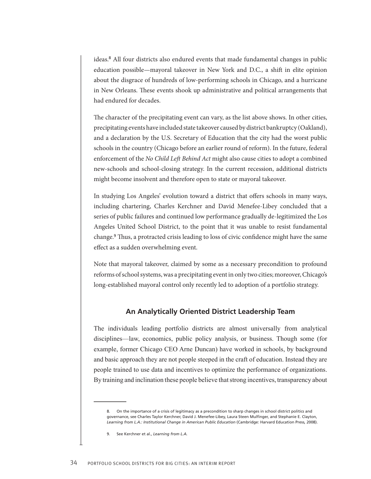<span id="page-39-0"></span>ideas.<sup>8</sup> All four districts also endured events that made fundamental changes in public education possible—mayoral takeover in New York and D.C., a shift in elite opinion about the disgrace of hundreds of low-performing schools in Chicago, and a hurricane in New Orleans. These events shook up administrative and political arrangements that had endured for decades.

The character of the precipitating event can vary, as the list above shows. In other cities, precipitating events have included state takeover caused by district bankruptcy (Oakland), and a declaration by the U.S. Secretary of Education that the city had the worst public schools in the country (Chicago before an earlier round of reform). In the future, federal enforcement of the *No Child Left Behind Act* might also cause cities to adopt a combined new-schools and school-closing strategy. In the current recession, additional districts might become insolvent and therefore open to state or mayoral takeover.

In studying Los Angeles' evolution toward a district that offers schools in many ways, including chartering, Charles Kerchner and David Menefee-Libey concluded that a series of public failures and continued low performance gradually de-legitimized the Los Angeles United School District, to the point that it was unable to resist fundamental change.<sup>9</sup> Thus, a protracted crisis leading to loss of civic confidence might have the same effect as a sudden overwhelming event.

Note that mayoral takeover, claimed by some as a necessary precondition to profound reforms of school systems, was a precipitating event in only two cities; moreover, Chicago's long-established mayoral control only recently led to adoption of a portfolio strategy.

#### **An Analytically Oriented District Leadership Team**

The individuals leading portfolio districts are almost universally from analytical disciplines—law, economics, public policy analysis, or business. Though some (for example, former Chicago CEO Arne Duncan) have worked in schools, by background and basic approach they are not people steeped in the craft of education. Instead they are people trained to use data and incentives to optimize the performance of organizations. By training and inclination these people believe that strong incentives, transparency about

<sup>8.</sup> On the importance of a crisis of legitimacy as a precondition to sharp changes in school district politics and governance, see Charles Taylor Kerchner, David J. Menefee-Libey, Laura Steen Mulfinger, and Stephanie E. Clayton, *Learning from L.A.: Institutional Change in American Public Education* (Cambridge: Harvard Education Press*,* 2008).

<sup>9.</sup> See Kerchner et al., *Learning from L.A.*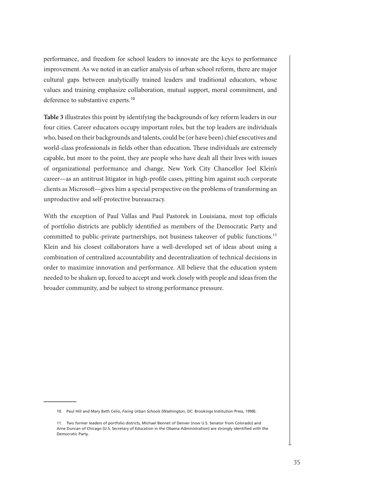performance, and freedom for school leaders to innovate are the keys to performance improvement. As we noted in an earlier analysis of urban school reform, there are major cultural gaps between analytically trained leaders and traditional educators, whose values and training emphasize collaboration, mutual support, moral commitment, and deference to substantive experts.<sup>10</sup>

**Table 3** illustrates this point by identifying the backgrounds of key reform leaders in our four cities. Career educators occupy important roles, but the top leaders are individuals who, based on their backgrounds and talents, could be (or have been) chief executives and world-class professionals in fields other than education. These individuals are extremely capable, but more to the point, they are people who have dealt all their lives with issues of organizational performance and change. New York City Chancellor Joel Klein's career—as an antitrust litigator in high-profile cases, pitting him against such corporate clients as Microsoft—gives him a special perspective on the problems of transforming an unproductive and self-protective bureaucracy.

With the exception of Paul Vallas and Paul Pastorek in Louisiana, most top officials of portfolio districts are publicly identified as members of the Democratic Party and committed to public-private partnerships, not business takeover of public functions.<sup>11</sup> Klein and his closest collaborators have a well-developed set of ideas about using a combination of centralized accountability and decentralization of technical decisions in order to maximize innovation and performance. All believe that the education system needed to be shaken up, forced to accept and work closely with people and ideas from the broader community, and be subject to strong performance pressure.

<sup>10.</sup> Paul Hill and Mary Beth Celio, *Fixing Urban Schools* (Washington, DC: Brookings Institution Press, 1998).

<sup>11.</sup> Two former leaders of portfolio districts, Michael Bennet of Denver (now U.S. Senator from Colorado) and Arne Duncan of Chicago (U.S. Secretary of Education in the Obama Administration) are strongly identified with the Democratic Party.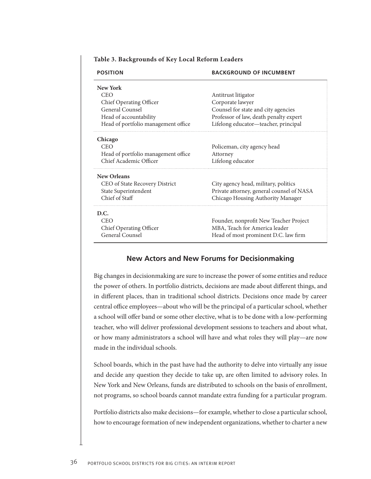| <b>POSITION</b>                     | <b>BACKGROUND OF INCUMBENT</b>            |
|-------------------------------------|-------------------------------------------|
| New York                            |                                           |
| <b>CEO</b>                          | Antitrust litigator                       |
| Chief Operating Officer             | Corporate lawyer                          |
| General Counsel                     | Counsel for state and city agencies       |
| Head of accountability              | Professor of law, death penalty expert    |
| Head of portfolio management office | Lifelong educator-teacher, principal      |
| Chicago                             |                                           |
| <b>CEO</b>                          | Policeman, city agency head               |
| Head of portfolio management office | Attorney                                  |
| Chief Academic Officer              | Lifelong educator                         |
| <b>New Orleans</b>                  |                                           |
| CEO of State Recovery District      | City agency head, military, politics      |
| State Superintendent                | Private attorney, general counsel of NASA |
| Chief of Staff                      | Chicago Housing Authority Manager         |
| D.C.                                |                                           |
| <b>CEO</b>                          | Founder, nonprofit New Teacher Project    |
| Chief Operating Officer             | MBA, Teach for America leader             |
| General Counsel                     | Head of most prominent D.C. law firm      |

#### <span id="page-41-0"></span>**Table 3. Backgrounds of Key Local Reform Leaders**

#### **New Actors and New Forums for Decisionmaking**

Big changes in decisionmaking are sure to increase the power of some entities and reduce the power of others. In portfolio districts, decisions are made about different things, and in different places, than in traditional school districts. Decisions once made by career central office employees—about who will be the principal of a particular school, whether a school will offer band or some other elective, what is to be done with a low-performing teacher, who will deliver professional development sessions to teachers and about what, or how many administrators a school will have and what roles they will play—are now made in the individual schools.

School boards, which in the past have had the authority to delve into virtually any issue and decide any question they decide to take up, are often limited to advisory roles. In New York and New Orleans, funds are distributed to schools on the basis of enrollment, not programs, so school boards cannot mandate extra funding for a particular program.

Portfolio districts also make decisions—for example, whether to close a particular school, how to encourage formation of new independent organizations, whether to charter a new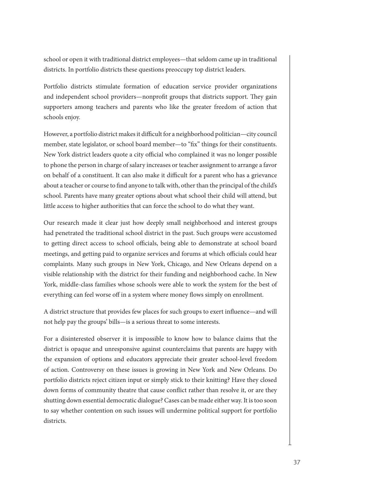school or open it with traditional district employees—that seldom came up in traditional districts. In portfolio districts these questions preoccupy top district leaders.

Portfolio districts stimulate formation of education service provider organizations and independent school providers—nonprofit groups that districts support. They gain supporters among teachers and parents who like the greater freedom of action that schools enjoy.

However, a portfolio district makes it difficult for a neighborhood politician—city council member, state legislator, or school board member—to "fix" things for their constituents. New York district leaders quote a city official who complained it was no longer possible to phone the person in charge of salary increases or teacher assignment to arrange a favor on behalf of a constituent. It can also make it difficult for a parent who has a grievance about a teacher or course to find anyone to talk with, other than the principal of the child's school. Parents have many greater options about what school their child will attend, but little access to higher authorities that can force the school to do what they want.

Our research made it clear just how deeply small neighborhood and interest groups had penetrated the traditional school district in the past. Such groups were accustomed to getting direct access to school officials, being able to demonstrate at school board meetings, and getting paid to organize services and forums at which officials could hear complaints. Many such groups in New York, Chicago, and New Orleans depend on a visible relationship with the district for their funding and neighborhood cache. In New York, middle-class families whose schools were able to work the system for the best of everything can feel worse off in a system where money flows simply on enrollment.

A district structure that provides few places for such groups to exert influence—and will not help pay the groups' bills—is a serious threat to some interests.

For a disinterested observer it is impossible to know how to balance claims that the district is opaque and unresponsive against counterclaims that parents are happy with the expansion of options and educators appreciate their greater school-level freedom of action. Controversy on these issues is growing in New York and New Orleans. Do portfolio districts reject citizen input or simply stick to their knitting? Have they closed down forms of community theatre that cause conflict rather than resolve it, or are they shutting down essential democratic dialogue? Cases can be made either way. It is too soon to say whether contention on such issues will undermine political support for portfolio districts.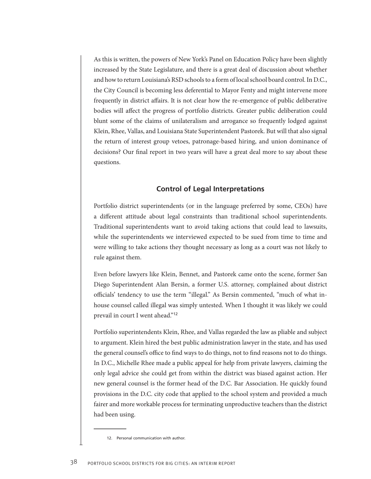<span id="page-43-0"></span>As this is written, the powers of New York's Panel on Education Policy have been slightly increased by the State Legislature, and there is a great deal of discussion about whether and how to return Louisiana's RSD schools to a form of local school board control. In D.C., the City Council is becoming less deferential to Mayor Fenty and might intervene more frequently in district affairs. It is not clear how the re-emergence of public deliberative bodies will affect the progress of portfolio districts. Greater public deliberation could blunt some of the claims of unilateralism and arrogance so frequently lodged against Klein, Rhee, Vallas, and Louisiana State Superintendent Pastorek. But will that also signal the return of interest group vetoes, patronage-based hiring, and union dominance of decisions? Our final report in two years will have a great deal more to say about these questions.

#### **Control of Legal Interpretations**

Portfolio district superintendents (or in the language preferred by some, CEOs) have a different attitude about legal constraints than traditional school superintendents. Traditional superintendents want to avoid taking actions that could lead to lawsuits, while the superintendents we interviewed expected to be sued from time to time and were willing to take actions they thought necessary as long as a court was not likely to rule against them.

Even before lawyers like Klein, Bennet, and Pastorek came onto the scene, former San Diego Superintendent Alan Bersin, a former U.S. attorney, complained about district officials' tendency to use the term "illegal." As Bersin commented, "much of what inhouse counsel called illegal was simply untested. When I thought it was likely we could prevail in court I went ahead."<sup>12</sup>

Portfolio superintendents Klein, Rhee, and Vallas regarded the law as pliable and subject to argument. Klein hired the best public administration lawyer in the state, and has used the general counsel's office to find ways to do things, not to find reasons not to do things. In D.C., Michelle Rhee made a public appeal for help from private lawyers, claiming the only legal advice she could get from within the district was biased against action. Her new general counsel is the former head of the D.C. Bar Association. He quickly found provisions in the D.C. city code that applied to the school system and provided a much fairer and more workable process for terminating unproductive teachers than the district had been using.

<sup>12.</sup> Personal communication with author.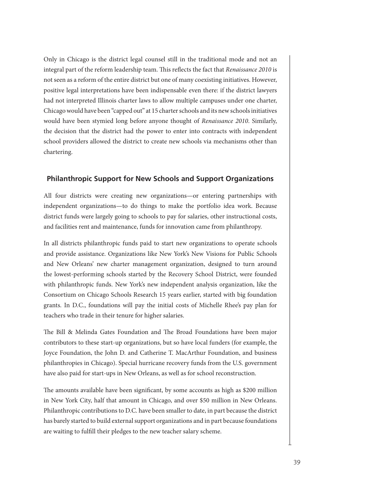<span id="page-44-0"></span>Only in Chicago is the district legal counsel still in the traditional mode and not an integral part of the reform leadership team. This reflects the fact that *Renaissance 2010* is not seen as a reform of the entire district but one of many coexisting initiatives. However, positive legal interpretations have been indispensable even there: if the district lawyers had not interpreted Illinois charter laws to allow multiple campuses under one charter, Chicago would have been "capped out" at 15 charter schools and its new schools initiatives would have been stymied long before anyone thought of *Renaissance 2010*. Similarly, the decision that the district had the power to enter into contracts with independent school providers allowed the district to create new schools via mechanisms other than chartering.

#### **Philanthropic Support for New Schools and Support Organizations**

All four districts were creating new organizations—or entering partnerships with independent organizations—to do things to make the portfolio idea work. Because district funds were largely going to schools to pay for salaries, other instructional costs, and facilities rent and maintenance, funds for innovation came from philanthropy.

In all districts philanthropic funds paid to start new organizations to operate schools and provide assistance. Organizations like New York's New Visions for Public Schools and New Orleans' new charter management organization, designed to turn around the lowest-performing schools started by the Recovery School District, were founded with philanthropic funds. New York's new independent analysis organization, like the Consortium on Chicago Schools Research 15 years earlier, started with big foundation grants. In D.C., foundations will pay the initial costs of Michelle Rhee's pay plan for teachers who trade in their tenure for higher salaries.

The Bill & Melinda Gates Foundation and The Broad Foundations have been major contributors to these start-up organizations, but so have local funders (for example, the Joyce Foundation, the John D. and Catherine T. MacArthur Foundation, and business philanthropies in Chicago). Special hurricane recovery funds from the U.S. government have also paid for start-ups in New Orleans, as well as for school reconstruction.

The amounts available have been significant, by some accounts as high as \$200 million in New York City, half that amount in Chicago, and over \$50 million in New Orleans. Philanthropic contributions to D.C. have been smaller to date, in part because the district has barely started to build external support organizations and in part because foundations are waiting to fulfill their pledges to the new teacher salary scheme.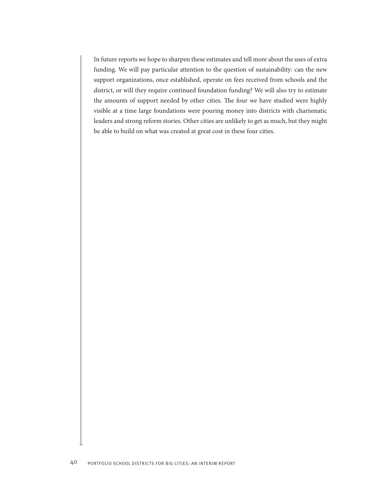In future reports we hope to sharpen these estimates and tell more about the uses of extra funding. We will pay particular attention to the question of sustainability: can the new support organizations, once established, operate on fees received from schools and the district, or will they require continued foundation funding? We will also try to estimate the amounts of support needed by other cities. The four we have studied were highly visible at a time large foundations were pouring money into districts with charismatic leaders and strong reform stories. Other cities are unlikely to get as much, but they might be able to build on what was created at great cost in these four cities.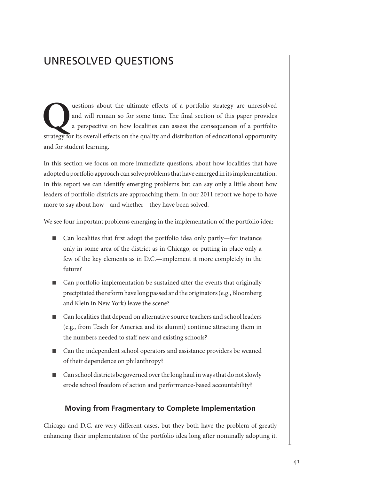## <span id="page-46-0"></span>UNRESOLVED QUESTIONS

**Questions about the ultimate effects of a portfolio strategy are unresolved** and will remain so for some time. The final section of this paper provides a perspective on how localities can assess the consequences of a port and will remain so for some time. The final section of this paper provides a perspective on how localities can assess the consequences of a portfolio strategy for its overall effects on the quality and distribution of educational opportunity and for student learning.

In this section we focus on more immediate questions, about how localities that have adopted a portfolio approach can solve problems that have emerged in its implementation. In this report we can identify emerging problems but can say only a little about how leaders of portfolio districts are approaching them. In our 2011 report we hope to have more to say about how—and whether—they have been solved.

We see four important problems emerging in the implementation of the portfolio idea:

- Can localities that first adopt the portfolio idea only partly—for instance only in some area of the district as in Chicago, or putting in place only a few of the key elements as in D.C.—implement it more completely in the future?
- Can portfolio implementation be sustained after the events that originally precipitated the reform have long passed and the originators (e.g., Bloomberg and Klein in New York) leave the scene?
- Can localities that depend on alternative source teachers and school leaders (e.g., from Teach for America and its alumni) continue attracting them in the numbers needed to staff new and existing schools?
- Can the independent school operators and assistance providers be weaned of their dependence on philanthropy?
- Can school districts be governed over the long haul in ways that do not slowly erode school freedom of action and performance-based accountability?

#### **Moving from Fragmentary to Complete Implementation**

Chicago and D.C. are very different cases, but they both have the problem of greatly enhancing their implementation of the portfolio idea long after nominally adopting it.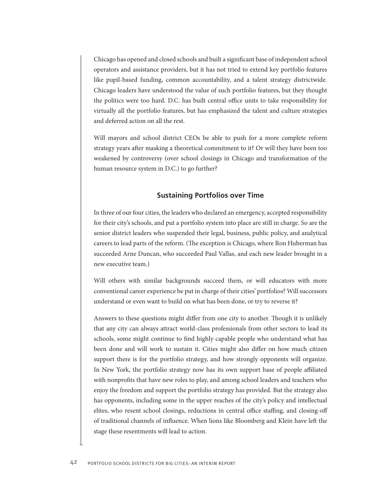<span id="page-47-0"></span>Chicago has opened and closed schools and built a significant base of independent school operators and assistance providers, but it has not tried to extend key portfolio features like pupil-based funding, common accountability, and a talent strategy districtwide. Chicago leaders have understood the value of such portfolio features, but they thought the politics were too hard. D.C. has built central office units to take responsibility for virtually all the portfolio features, but has emphasized the talent and culture strategies and deferred action on all the rest.

Will mayors and school district CEOs be able to push for a more complete reform strategy years after masking a theoretical commitment to it? Or will they have been too weakened by controversy (over school closings in Chicago and transformation of the human resource system in D.C.) to go further?

#### **Sustaining Portfolios over Time**

In three of our four cities, the leaders who declared an emergency, accepted responsibility for their city's schools, and put a portfolio system into place are still in charge. So are the senior district leaders who suspended their legal, business, public policy, and analytical careers to lead parts of the reform. (The exception is Chicago, where Ron Huberman has succeeded Arne Duncan, who succeeded Paul Vallas, and each new leader brought in a new executive team.)

Will others with similar backgrounds succeed them, or will educators with more conventional career experience be put in charge of their cities' portfolios? Will successors understand or even want to build on what has been done, or try to reverse it?

Answers to these questions might differ from one city to another. Though it is unlikely that any city can always attract world-class professionals from other sectors to lead its schools, some might continue to find highly capable people who understand what has been done and will work to sustain it. Cities might also differ on how much citizen support there is for the portfolio strategy, and how strongly opponents will organize. In New York, the portfolio strategy now has its own support base of people affiliated with nonprofits that have new roles to play, and among school leaders and teachers who enjoy the freedom and support the portfolio strategy has provided. But the strategy also has opponents, including some in the upper reaches of the city's policy and intellectual elites, who resent school closings, reductions in central office staffing, and closing-off of traditional channels of influence. When lions like Bloomberg and Klein have left the stage these resentments will lead to action.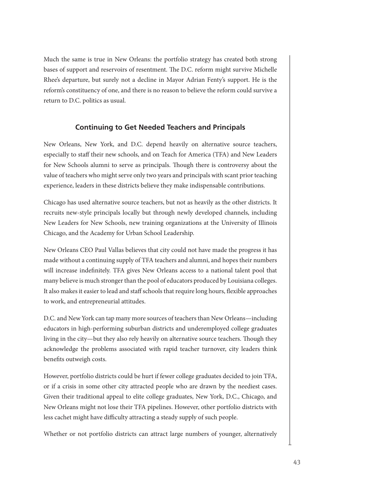<span id="page-48-0"></span>Much the same is true in New Orleans: the portfolio strategy has created both strong bases of support and reservoirs of resentment. The D.C. reform might survive Michelle Rhee's departure, but surely not a decline in Mayor Adrian Fenty's support. He is the reform's constituency of one, and there is no reason to believe the reform could survive a return to D.C. politics as usual.

#### **Continuing to Get Needed Teachers and Principals**

New Orleans, New York, and D.C. depend heavily on alternative source teachers, especially to staff their new schools, and on Teach for America (TFA) and New Leaders for New Schools alumni to serve as principals. Though there is controversy about the value of teachers who might serve only two years and principals with scant prior teaching experience, leaders in these districts believe they make indispensable contributions.

Chicago has used alternative source teachers, but not as heavily as the other districts. It recruits new-style principals locally but through newly developed channels, including New Leaders for New Schools, new training organizations at the University of Illinois Chicago, and the Academy for Urban School Leadership.

New Orleans CEO Paul Vallas believes that city could not have made the progress it has made without a continuing supply of TFA teachers and alumni, and hopes their numbers will increase indefinitely. TFA gives New Orleans access to a national talent pool that many believe is much stronger than the pool of educators produced by Louisiana colleges. It also makes it easier to lead and staff schools that require long hours, flexible approaches to work, and entrepreneurial attitudes.

D.C. and New York can tap many more sources of teachers than New Orleans—including educators in high-performing suburban districts and underemployed college graduates living in the city—but they also rely heavily on alternative source teachers. Though they acknowledge the problems associated with rapid teacher turnover, city leaders think benefits outweigh costs.

However, portfolio districts could be hurt if fewer college graduates decided to join TFA, or if a crisis in some other city attracted people who are drawn by the neediest cases. Given their traditional appeal to elite college graduates, New York, D.C., Chicago, and New Orleans might not lose their TFA pipelines. However, other portfolio districts with less cachet might have difficulty attracting a steady supply of such people.

Whether or not portfolio districts can attract large numbers of younger, alternatively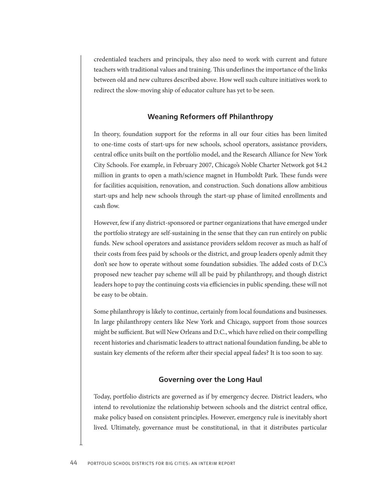<span id="page-49-0"></span>credentialed teachers and principals, they also need to work with current and future teachers with traditional values and training. This underlines the importance of the links between old and new cultures described above. How well such culture initiatives work to redirect the slow-moving ship of educator culture has yet to be seen.

#### **Weaning Reformers off Philanthropy**

In theory, foundation support for the reforms in all our four cities has been limited to one-time costs of start-ups for new schools, school operators, assistance providers, central office units built on the portfolio model, and the Research Alliance for New York City Schools. For example, in February 2007, Chicago's Noble Charter Network got \$4.2 million in grants to open a math/science magnet in Humboldt Park. These funds were for facilities acquisition, renovation, and construction. Such donations allow ambitious start-ups and help new schools through the start-up phase of limited enrollments and cash flow.

However, few if any district-sponsored or partner organizations that have emerged under the portfolio strategy are self-sustaining in the sense that they can run entirely on public funds. New school operators and assistance providers seldom recover as much as half of their costs from fees paid by schools or the district, and group leaders openly admit they don't see how to operate without some foundation subsidies. The added costs of D.C.'s proposed new teacher pay scheme will all be paid by philanthropy, and though district leaders hope to pay the continuing costs via efficiencies in public spending, these will not be easy to be obtain.

Some philanthropy is likely to continue, certainly from local foundations and businesses. In large philanthropy centers like New York and Chicago, support from those sources might be sufficient. But will New Orleans and D.C., which have relied on their compelling recent histories and charismatic leaders to attract national foundation funding, be able to sustain key elements of the reform after their special appeal fades? It is too soon to say.

#### **Governing over the Long Haul**

Today, portfolio districts are governed as if by emergency decree. District leaders, who intend to revolutionize the relationship between schools and the district central office, make policy based on consistent principles. However, emergency rule is inevitably short lived. Ultimately, governance must be constitutional, in that it distributes particular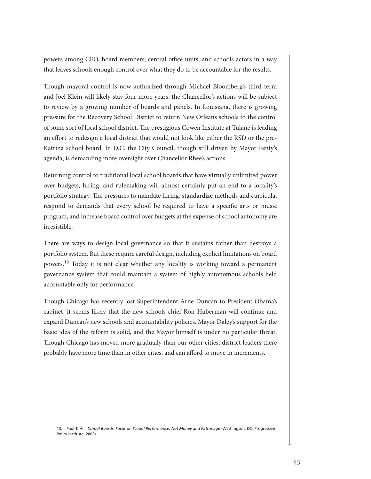powers among CEO, board members, central office units, and schools actors in a way that leaves schools enough control over what they do to be accountable for the results.

Though mayoral control is now authorized through Michael Bloomberg's third term and Joel Klein will likely stay four more years, the Chancellor's actions will be subject to review by a growing number of boards and panels. In Louisiana, there is growing pressure for the Recovery School District to return New Orleans schools to the control of some sort of local school district. The prestigious Cowen Institute at Tulane is leading an effort to redesign a local district that would not look like either the RSD or the pre-Katrina school board. In D.C. the City Council, though still driven by Mayor Fenty's agenda, is demanding more oversight over Chancellor Rhee's actions.

Returning control to traditional local school boards that have virtually unlimited power over budgets, hiring, and rulemaking will almost certainly put an end to a locality's portfolio strategy. The pressures to mandate hiring, standardize methods and curricula, respond to demands that every school be required to have a specific arts or music program, and increase board control over budgets at the expense of school autonomy are irresistible.

There are ways to design local governance so that it sustains rather than destroys a portfolio system. But these require careful design, including explicit limitations on board powers.<sup>13</sup> Today it is not clear whether any locality is working toward a permanent governance system that could maintain a system of highly autonomous schools held accountable only for performance.

Though Chicago has recently lost Superintendent Arne Duncan to President Obama's cabinet, it seems likely that the new schools chief Ron Huberman will continue and expand Duncan's new schools and accountability policies. Mayor Daley's support for the basic idea of the reform is solid, and the Mayor himself is under no particular threat. Though Chicago has moved more gradually than our other cities, district leaders there probably have more time than in other cities, and can afford to move in increments.

<sup>13.</sup> Paul T. Hill, *School Boards: Focus on School Performance, Not Money and Patronage* (Washington, DC: Progressive Policy Institute, 2003).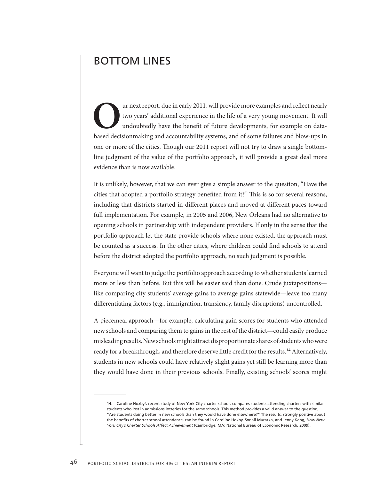### <span id="page-51-0"></span>BOTTOM LINES

The urnext report, due in early 2011, will provide more examples and reflect nearly two years' additional experience in the life of a very young movement. It will undoubtedly have the benefit of future developments, for ex two years' additional experience in the life of a very young movement. It will undoubtedly have the benefit of future developments, for example on databased decisionmaking and accountability systems, and of some failures and blow-ups in one or more of the cities. Though our 2011 report will not try to draw a single bottomline judgment of the value of the portfolio approach, it will provide a great deal more evidence than is now available.

It is unlikely, however, that we can ever give a simple answer to the question, "Have the cities that adopted a portfolio strategy benefited from it?" This is so for several reasons, including that districts started in different places and moved at different paces toward full implementation. For example, in 2005 and 2006, New Orleans had no alternative to opening schools in partnership with independent providers. If only in the sense that the portfolio approach let the state provide schools where none existed, the approach must be counted as a success. In the other cities, where children could find schools to attend before the district adopted the portfolio approach, no such judgment is possible.

Everyone will want to judge the portfolio approach according to whether students learned more or less than before. But this will be easier said than done. Crude juxtapositions like comparing city students' average gains to average gains statewide—leave too many differentiating factors (e.g., immigration, transiency, family disruptions) uncontrolled.

A piecemeal approach—for example, calculating gain scores for students who attended new schools and comparing them to gains in the rest of the district—could easily produce misleading results. New schools might attract disproportionate shares of students who were ready for a breakthrough, and therefore deserve little credit for the results.<sup>14</sup> Alternatively, students in new schools could have relatively slight gains yet still be learning more than they would have done in their previous schools. Finally, existing schools' scores might

<sup>14.</sup> Caroline Hoxby's recent study of New York City charter schools compares students attending charters with similar students who lost in admissions lotteries for the same schools. This method provides a valid answer to the question, "Are students doing better in new schools than they would have done elsewhere?" The results, strongly positive about the benefits of charter school attendance, can be found in Caroline Hoxby, Sonali Murarka, and Jenny Kang, *How New York City's Charter Schools Affect Achievement* (Cambridge, MA: National Bureau of Economic Research, 2009).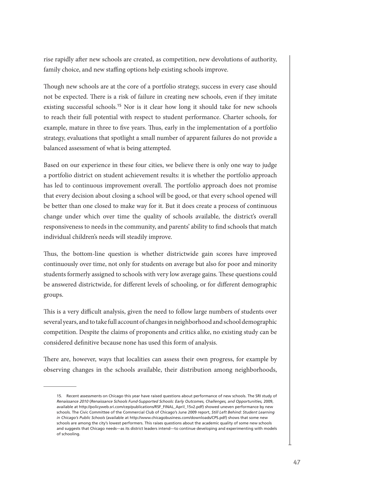rise rapidly after new schools are created, as competition, new devolutions of authority, family choice, and new staffing options help existing schools improve.

Though new schools are at the core of a portfolio strategy, success in every case should not be expected. There is a risk of failure in creating new schools, even if they imitate existing successful schools.<sup>15</sup> Nor is it clear how long it should take for new schools to reach their full potential with respect to student performance. Charter schools, for example, mature in three to five years. Thus, early in the implementation of a portfolio strategy, evaluations that spotlight a small number of apparent failures do not provide a balanced assessment of what is being attempted.

Based on our experience in these four cities, we believe there is only one way to judge a portfolio district on student achievement results: it is whether the portfolio approach has led to continuous improvement overall. The portfolio approach does not promise that every decision about closing a school will be good, or that every school opened will be better than one closed to make way for it. But it does create a process of continuous change under which over time the quality of schools available, the district's overall responsiveness to needs in the community, and parents' ability to find schools that match individual children's needs will steadily improve.

Thus, the bottom-line question is whether districtwide gain scores have improved continuously over time, not only for students on average but also for poor and minority students formerly assigned to schools with very low average gains. These questions could be answered districtwide, for different levels of schooling, or for different demographic groups.

This is a very difficult analysis, given the need to follow large numbers of students over several years, and to take full account of changes in neighborhood and school demographic competition. Despite the claims of proponents and critics alike, no existing study can be considered definitive because none has used this form of analysis.

There are, however, ways that localities can assess their own progress, for example by observing changes in the schools available, their distribution among neighborhoods,

<sup>15.</sup> Recent assessments on Chicago this year have raised questions about performance of new schools. The SRI study of *Renaissance 2010* (*Renaissance Schools Fund-Supported Schools: Early Outcomes, Challenges, and Opportunities,* 2009, available at http://policyweb.sri.com/cep/publications/RSF\_FINAL\_April\_15v2.pdf) showed uneven performance by new schools. The Civic Committee of the Commercial Club of Chicago's June 2009 report, *Still Left Behind: Student Learning in Chicago's Public Schools* (available at http://www.chicagobusiness.com/downloads/CPS.pdf) shows that some new schools are among the city's lowest performers. This raises questions about the academic quality of some new schools and suggests that Chicago needs—as its district leaders intend—to continue developing and experimenting with models of schooling.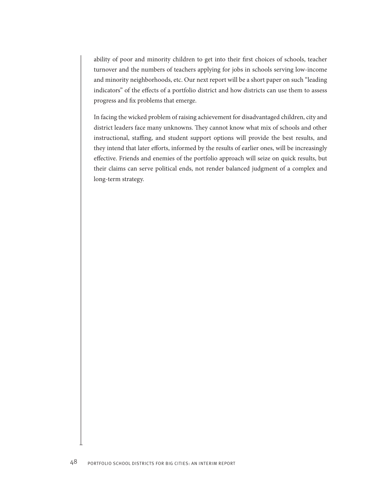ability of poor and minority children to get into their first choices of schools, teacher turnover and the numbers of teachers applying for jobs in schools serving low-income and minority neighborhoods, etc. Our next report will be a short paper on such "leading indicators" of the effects of a portfolio district and how districts can use them to assess progress and fix problems that emerge.

In facing the wicked problem of raising achievement for disadvantaged children, city and district leaders face many unknowns. They cannot know what mix of schools and other instructional, staffing, and student support options will provide the best results, and they intend that later efforts, informed by the results of earlier ones, will be increasingly effective. Friends and enemies of the portfolio approach will seize on quick results, but their claims can serve political ends, not render balanced judgment of a complex and long-term strategy.